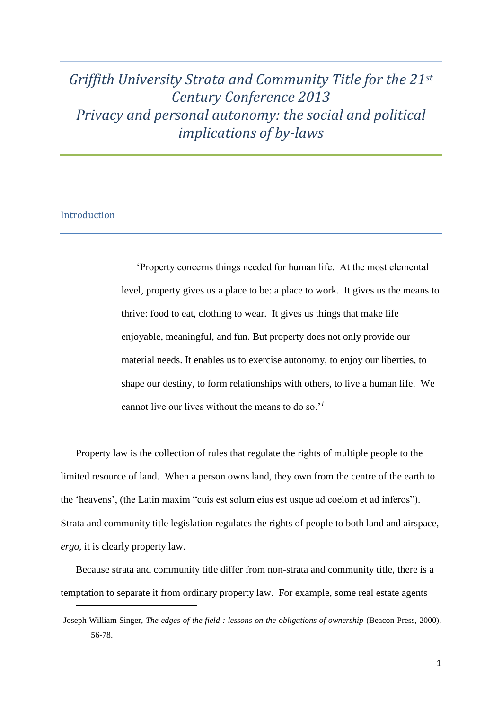# *Griffith University Strata and Community Title for the 21st Century Conference 2013 Privacy and personal autonomy: the social and political implications of by-laws*

## Introduction

 $\overline{a}$ 

'Property concerns things needed for human life. At the most elemental level, property gives us a place to be: a place to work. It gives us the means to thrive: food to eat, clothing to wear. It gives us things that make life enjoyable, meaningful, and fun. But property does not only provide our material needs. It enables us to exercise autonomy, to enjoy our liberties, to shape our destiny, to form relationships with others, to live a human life. We cannot live our lives without the means to do so.'*<sup>1</sup>*

Property law is the collection of rules that regulate the rights of multiple people to the limited resource of land. When a person owns land, they own from the centre of the earth to the 'heavens', (the Latin maxim "cuis est solum eius est usque ad coelom et ad inferos"). Strata and community title legislation regulates the rights of people to both land and airspace, *ergo*, it is clearly property law.

Because strata and community title differ from non-strata and community title, there is a temptation to separate it from ordinary property law. For example, some real estate agents

<sup>&</sup>lt;sup>1</sup>Joseph William Singer, *The edges of the field : lessons on the obligations of ownership* (Beacon Press, 2000), 56-78.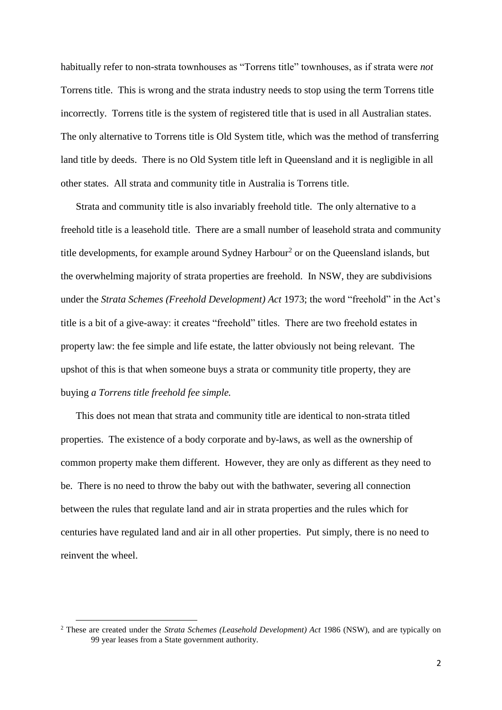habitually refer to non-strata townhouses as "Torrens title" townhouses, as if strata were *not*  Torrens title. This is wrong and the strata industry needs to stop using the term Torrens title incorrectly. Torrens title is the system of registered title that is used in all Australian states. The only alternative to Torrens title is Old System title, which was the method of transferring land title by deeds. There is no Old System title left in Queensland and it is negligible in all other states. All strata and community title in Australia is Torrens title.

Strata and community title is also invariably freehold title. The only alternative to a freehold title is a leasehold title. There are a small number of leasehold strata and community title developments, for example around Sydney Harbour<sup>2</sup> or on the Queensland islands, but the overwhelming majority of strata properties are freehold. In NSW, they are subdivisions under the *Strata Schemes (Freehold Development) Act* 1973; the word "freehold" in the Act's title is a bit of a give-away: it creates "freehold" titles. There are two freehold estates in property law: the fee simple and life estate, the latter obviously not being relevant. The upshot of this is that when someone buys a strata or community title property, they are buying *a Torrens title freehold fee simple.*

This does not mean that strata and community title are identical to non-strata titled properties. The existence of a body corporate and by-laws, as well as the ownership of common property make them different. However, they are only as different as they need to be. There is no need to throw the baby out with the bathwater, severing all connection between the rules that regulate land and air in strata properties and the rules which for centuries have regulated land and air in all other properties. Put simply, there is no need to reinvent the wheel.

<sup>2</sup> These are created under the *Strata Schemes (Leasehold Development) Act* 1986 (NSW), and are typically on 99 year leases from a State government authority.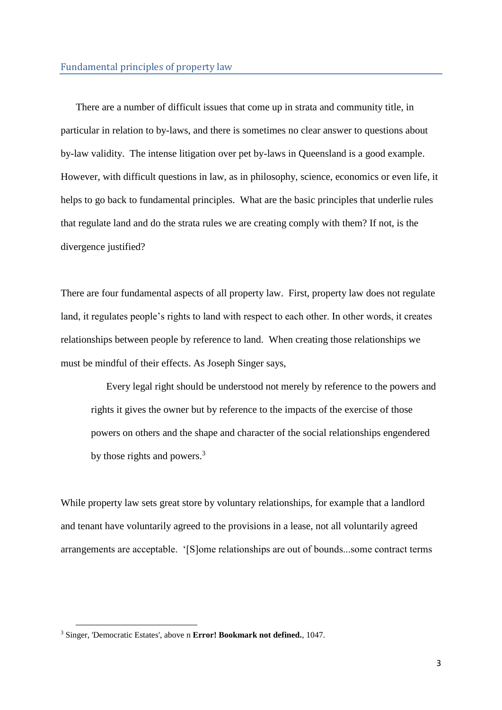There are a number of difficult issues that come up in strata and community title, in particular in relation to by-laws, and there is sometimes no clear answer to questions about by-law validity. The intense litigation over pet by-laws in Queensland is a good example. However, with difficult questions in law, as in philosophy, science, economics or even life, it helps to go back to fundamental principles. What are the basic principles that underlie rules that regulate land and do the strata rules we are creating comply with them? If not, is the divergence justified?

There are four fundamental aspects of all property law. First, property law does not regulate land, it regulates people's rights to land with respect to each other. In other words, it creates relationships between people by reference to land. When creating those relationships we must be mindful of their effects. As Joseph Singer says,

Every legal right should be understood not merely by reference to the powers and rights it gives the owner but by reference to the impacts of the exercise of those powers on others and the shape and character of the social relationships engendered by those rights and powers.<sup>3</sup>

While property law sets great store by voluntary relationships, for example that a landlord and tenant have voluntarily agreed to the provisions in a lease, not all voluntarily agreed arrangements are acceptable. '[S]ome relationships are out of bounds...some contract terms

<sup>3</sup> Singer, 'Democratic Estates', above n **Error! Bookmark not defined.**, 1047.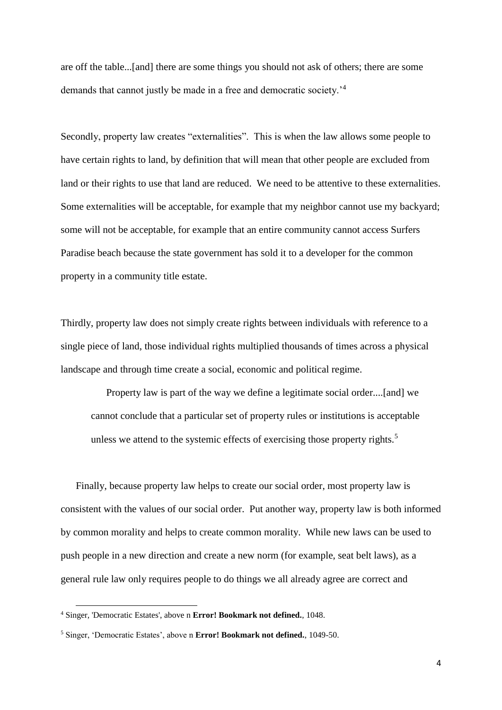are off the table...[and] there are some things you should not ask of others; there are some demands that cannot justly be made in a free and democratic society.<sup>4</sup>

Secondly, property law creates "externalities". This is when the law allows some people to have certain rights to land, by definition that will mean that other people are excluded from land or their rights to use that land are reduced. We need to be attentive to these externalities. Some externalities will be acceptable, for example that my neighbor cannot use my backyard; some will not be acceptable, for example that an entire community cannot access Surfers Paradise beach because the state government has sold it to a developer for the common property in a community title estate.

Thirdly, property law does not simply create rights between individuals with reference to a single piece of land, those individual rights multiplied thousands of times across a physical landscape and through time create a social, economic and political regime.

Property law is part of the way we define a legitimate social order....[and] we cannot conclude that a particular set of property rules or institutions is acceptable unless we attend to the systemic effects of exercising those property rights.<sup>5</sup>

Finally, because property law helps to create our social order, most property law is consistent with the values of our social order. Put another way, property law is both informed by common morality and helps to create common morality. While new laws can be used to push people in a new direction and create a new norm (for example, seat belt laws), as a general rule law only requires people to do things we all already agree are correct and

 $\overline{a}$ 

<sup>4</sup> Singer, 'Democratic Estates', above n **Error! Bookmark not defined.**, 1048.

<sup>5</sup> Singer, 'Democratic Estates', above n **Error! Bookmark not defined.**, 1049-50.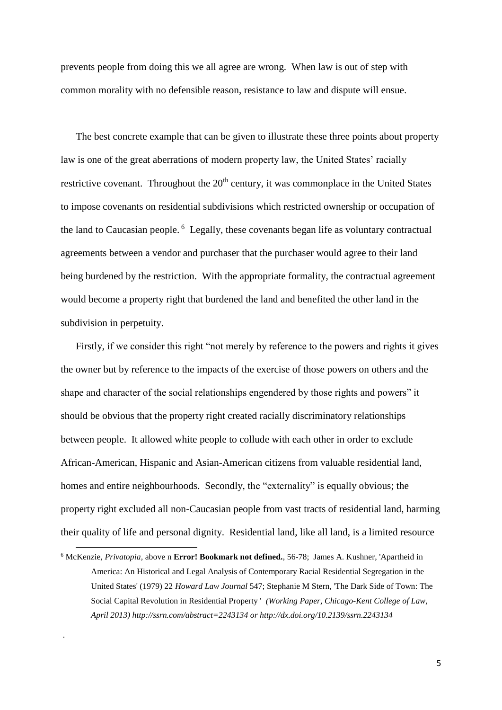prevents people from doing this we all agree are wrong. When law is out of step with common morality with no defensible reason, resistance to law and dispute will ensue.

The best concrete example that can be given to illustrate these three points about property law is one of the great aberrations of modern property law, the United States' racially restrictive covenant. Throughout the  $20<sup>th</sup>$  century, it was commonplace in the United States to impose covenants on residential subdivisions which restricted ownership or occupation of the land to Caucasian people.<sup>6</sup> Legally, these covenants began life as voluntary contractual agreements between a vendor and purchaser that the purchaser would agree to their land being burdened by the restriction. With the appropriate formality, the contractual agreement would become a property right that burdened the land and benefited the other land in the subdivision in perpetuity.

Firstly, if we consider this right "not merely by reference to the powers and rights it gives the owner but by reference to the impacts of the exercise of those powers on others and the shape and character of the social relationships engendered by those rights and powers" it should be obvious that the property right created racially discriminatory relationships between people. It allowed white people to collude with each other in order to exclude African-American, Hispanic and Asian-American citizens from valuable residential land, homes and entire neighbourhoods. Secondly, the "externality" is equally obvious; the property right excluded all non-Caucasian people from vast tracts of residential land, harming their quality of life and personal dignity. Residential land, like all land, is a limited resource

 $\overline{a}$ 

<sup>6</sup> McKenzie, *Privatopia,* above n **Error! Bookmark not defined.**, 56-78; James A. Kushner, 'Apartheid in America: An Historical and Legal Analysis of Contemporary Racial Residential Segregation in the United States' (1979) 22 *Howard Law Journal* 547; Stephanie M Stern, 'The Dark Side of Town: The Social Capital Revolution in Residential Property ' *(Working Paper, Chicago-Kent College of Law, April 2013) http://ssrn.com/abstract=2243134 or http://dx.doi.org/10.2139/ssrn.2243134*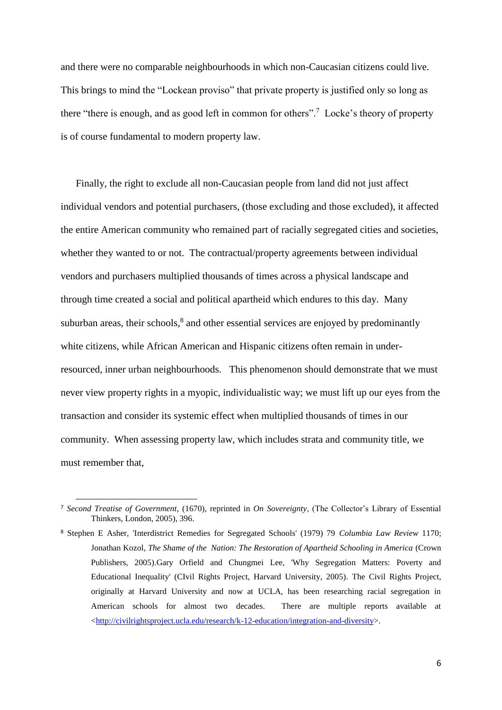and there were no comparable neighbourhoods in which non-Caucasian citizens could live. This brings to mind the "Lockean proviso" that private property is justified only so long as there "there is enough, and as good left in common for others".<sup>7</sup> Locke's theory of property is of course fundamental to modern property law.

Finally, the right to exclude all non-Caucasian people from land did not just affect individual vendors and potential purchasers, (those excluding and those excluded), it affected the entire American community who remained part of racially segregated cities and societies, whether they wanted to or not. The contractual/property agreements between individual vendors and purchasers multiplied thousands of times across a physical landscape and through time created a social and political apartheid which endures to this day. Many suburban areas, their schools,<sup>8</sup> and other essential services are enjoyed by predominantly white citizens, while African American and Hispanic citizens often remain in underresourced, inner urban neighbourhoods. This phenomenon should demonstrate that we must never view property rights in a myopic, individualistic way; we must lift up our eyes from the transaction and consider its systemic effect when multiplied thousands of times in our community. When assessing property law, which includes strata and community title, we must remember that,

<sup>7</sup> *Second Treatise of Government*, (1670), reprinted in *On Sovereignty*, (The Collector's Library of Essential Thinkers, London, 2005), 396.

<sup>8</sup> Stephen E Asher, 'Interdistrict Remedies for Segregated Schools' (1979) 79 *Columbia Law Review* 1170; Jonathan Kozol, *The Shame of the Nation: The Restoration of Apartheid Schooling in America* (Crown Publishers, 2005).Gary Orfield and Chungmei Lee, 'Why Segregation Matters: Poverty and Educational Inequality' (CIvil Rights Project, Harvard University, 2005). The Civil Rights Project, originally at Harvard University and now at UCLA, has been researching racial segregation in American schools for almost two decades. There are multiple reports available at [<http://civilrightsproject.ucla.edu/research/k-12-education/integration-and-diversity>](http://civilrightsproject.ucla.edu/research/k-12-education/integration-and-diversity).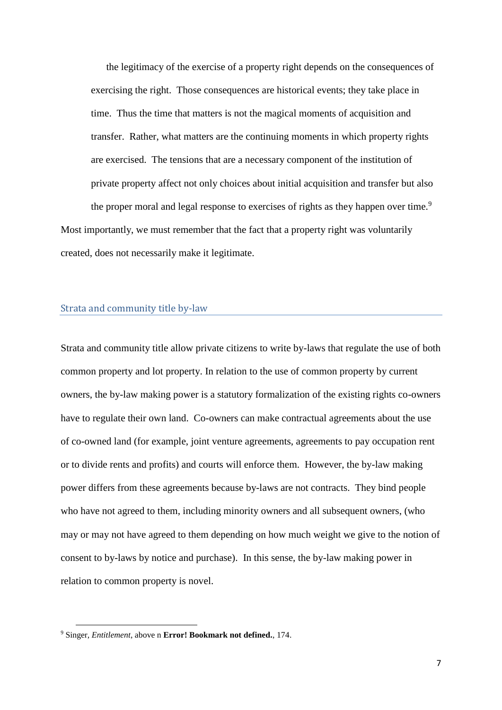the legitimacy of the exercise of a property right depends on the consequences of exercising the right. Those consequences are historical events; they take place in time. Thus the time that matters is not the magical moments of acquisition and transfer. Rather, what matters are the continuing moments in which property rights are exercised. The tensions that are a necessary component of the institution of private property affect not only choices about initial acquisition and transfer but also the proper moral and legal response to exercises of rights as they happen over time.<sup>9</sup>

Most importantly, we must remember that the fact that a property right was voluntarily created, does not necessarily make it legitimate.

#### Strata and community title by-law

Strata and community title allow private citizens to write by-laws that regulate the use of both common property and lot property. In relation to the use of common property by current owners, the by-law making power is a statutory formalization of the existing rights co-owners have to regulate their own land. Co-owners can make contractual agreements about the use of co-owned land (for example, joint venture agreements, agreements to pay occupation rent or to divide rents and profits) and courts will enforce them. However, the by-law making power differs from these agreements because by-laws are not contracts. They bind people who have not agreed to them, including minority owners and all subsequent owners, (who may or may not have agreed to them depending on how much weight we give to the notion of consent to by-laws by notice and purchase). In this sense, the by-law making power in relation to common property is novel.

<sup>9</sup> Singer, *Entitlement*, above n **Error! Bookmark not defined.**, 174.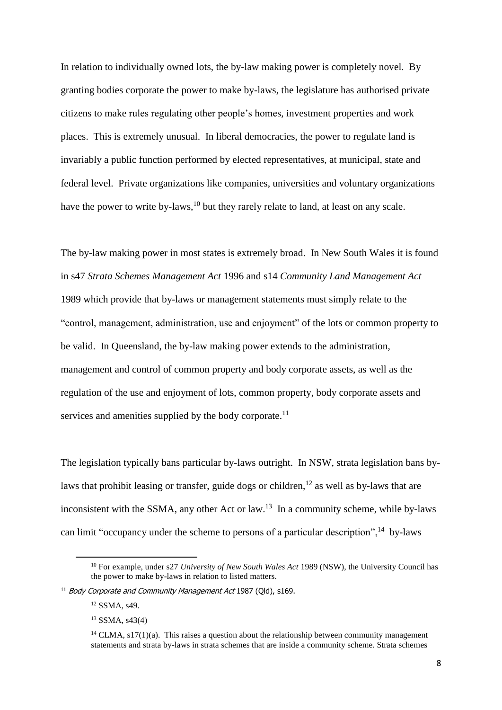In relation to individually owned lots, the by-law making power is completely novel. By granting bodies corporate the power to make by-laws, the legislature has authorised private citizens to make rules regulating other people's homes, investment properties and work places. This is extremely unusual. In liberal democracies, the power to regulate land is invariably a public function performed by elected representatives, at municipal, state and federal level. Private organizations like companies, universities and voluntary organizations have the power to write by-laws,<sup>10</sup> but they rarely relate to land, at least on any scale.

The by-law making power in most states is extremely broad. In New South Wales it is found in s47 *Strata Schemes Management Act* 1996 and s14 *Community Land Management Act* 1989 which provide that by-laws or management statements must simply relate to the "control, management, administration, use and enjoyment" of the lots or common property to be valid. In Queensland, the by-law making power extends to the administration, management and control of common property and body corporate assets, as well as the regulation of the use and enjoyment of lots, common property, body corporate assets and services and amenities supplied by the body corporate.<sup>11</sup>

The legislation typically bans particular by-laws outright. In NSW, strata legislation bans bylaws that prohibit leasing or transfer, guide dogs or children,<sup>12</sup> as well as by-laws that are inconsistent with the SSMA, any other Act or law.<sup>13</sup> In a community scheme, while by-laws can limit "occupancy under the scheme to persons of a particular description",  $14$  by-laws

 $\overline{a}$ 

<sup>10</sup> For example, under s27 *University of New South Wales Act* 1989 (NSW), the University Council has the power to make by-laws in relation to listed matters.

<sup>&</sup>lt;sup>11</sup> Body Corporate and Community Management Act 1987 (Old), s169.

<sup>12</sup> SSMA, s49.

<sup>13</sup> SSMA, s43(4)

<sup>&</sup>lt;sup>14</sup> CLMA,  $s17(1)(a)$ . This raises a question about the relationship between community management statements and strata by-laws in strata schemes that are inside a community scheme. Strata schemes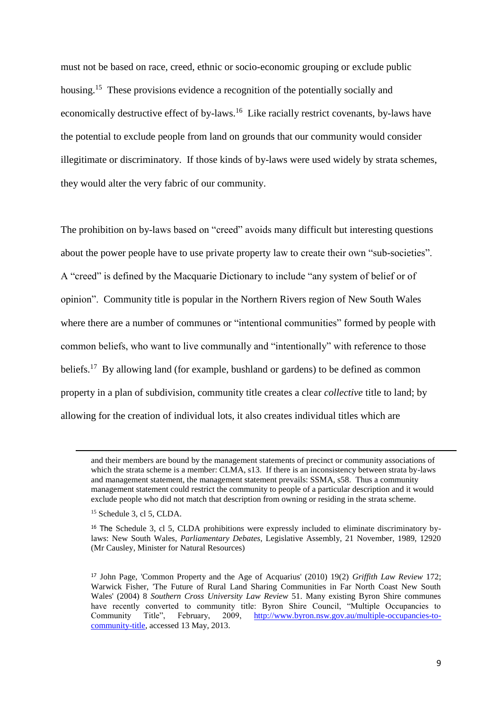must not be based on race, creed, ethnic or socio-economic grouping or exclude public housing.<sup>15</sup> These provisions evidence a recognition of the potentially socially and economically destructive effect of by-laws.<sup>16</sup> Like racially restrict covenants, by-laws have the potential to exclude people from land on grounds that our community would consider illegitimate or discriminatory. If those kinds of by-laws were used widely by strata schemes, they would alter the very fabric of our community.

The prohibition on by-laws based on "creed" avoids many difficult but interesting questions about the power people have to use private property law to create their own "sub-societies". A "creed" is defined by the Macquarie Dictionary to include "any system of belief or of opinion". Community title is popular in the Northern Rivers region of New South Wales where there are a number of communes or "intentional communities" formed by people with common beliefs, who want to live communally and "intentionally" with reference to those beliefs.<sup>17</sup> By allowing land (for example, bushland or gardens) to be defined as common property in a plan of subdivision, community title creates a clear *collective* title to land; by allowing for the creation of individual lots, it also creates individual titles which are

and their members are bound by the management statements of precinct or community associations of which the strata scheme is a member: CLMA, s13. If there is an inconsistency between strata by-laws and management statement, the management statement prevails: SSMA, s58. Thus a community management statement could restrict the community to people of a particular description and it would exclude people who did not match that description from owning or residing in the strata scheme.

<sup>15</sup> Schedule 3, cl 5, CLDA.

<sup>&</sup>lt;sup>16</sup> The Schedule 3, cl 5, CLDA prohibitions were expressly included to eliminate discriminatory bylaws: New South Wales, *Parliamentary Debates*, Legislative Assembly, 21 November, 1989, 12920 (Mr Causley, Minister for Natural Resources)

<sup>17</sup> John Page, 'Common Property and the Age of Acquarius' (2010) 19(2) *Griffith Law Review* 172; Warwick Fisher, 'The Future of Rural Land Sharing Communities in Far North Coast New South Wales' (2004) 8 *Southern Cross University Law Review* 51. Many existing Byron Shire communes have recently converted to community title: Byron Shire Council, "Multiple Occupancies to Community Title", February, 2009, [http://www.byron.nsw.gov.au/multiple-occupancies-to](http://www.byron.nsw.gov.au/multiple-occupancies-to-community-title)[community-title,](http://www.byron.nsw.gov.au/multiple-occupancies-to-community-title) accessed 13 May, 2013.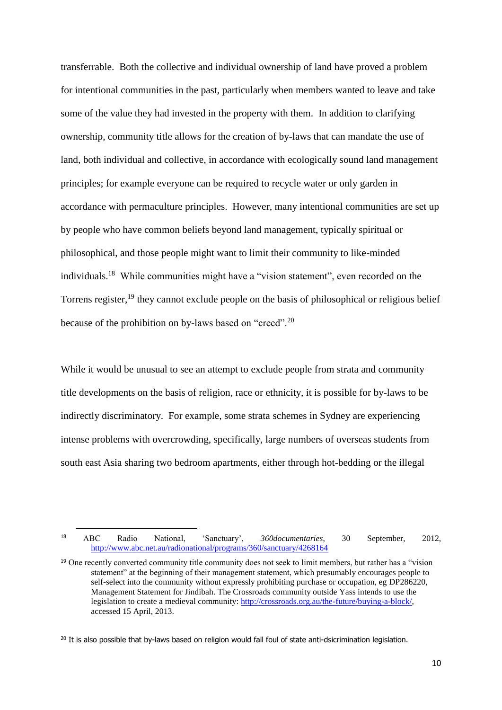transferrable. Both the collective and individual ownership of land have proved a problem for intentional communities in the past, particularly when members wanted to leave and take some of the value they had invested in the property with them. In addition to clarifying ownership, community title allows for the creation of by-laws that can mandate the use of land, both individual and collective, in accordance with ecologically sound land management principles; for example everyone can be required to recycle water or only garden in accordance with permaculture principles. However, many intentional communities are set up by people who have common beliefs beyond land management, typically spiritual or philosophical, and those people might want to limit their community to like-minded individuals.<sup>18</sup> While communities might have a "vision statement", even recorded on the Torrens register,<sup>19</sup> they cannot exclude people on the basis of philosophical or religious belief because of the prohibition on by-laws based on "creed".<sup>20</sup>

While it would be unusual to see an attempt to exclude people from strata and community title developments on the basis of religion, race or ethnicity, it is possible for by-laws to be indirectly discriminatory. For example, some strata schemes in Sydney are experiencing intense problems with overcrowding, specifically, large numbers of overseas students from south east Asia sharing two bedroom apartments, either through hot-bedding or the illegal

<sup>18</sup> ABC Radio National, 'Sanctuary', *360documentaries*, 30 September, 2012, <http://www.abc.net.au/radionational/programs/360/sanctuary/4268164>

<sup>&</sup>lt;sup>19</sup> One recently converted community title community does not seek to limit members, but rather has a "vision" statement" at the beginning of their management statement, which presumably encourages people to self-select into the community without expressly prohibiting purchase or occupation, eg DP286220, Management Statement for Jindibah. The Crossroads community outside Yass intends to use the legislation to create a medieval community[: http://crossroads.org.au/the-future/buying-a-block/,](http://crossroads.org.au/the-future/buying-a-block/) accessed 15 April, 2013.

<sup>&</sup>lt;sup>20</sup> It is also possible that by-laws based on religion would fall foul of state anti-dsicrimination legislation.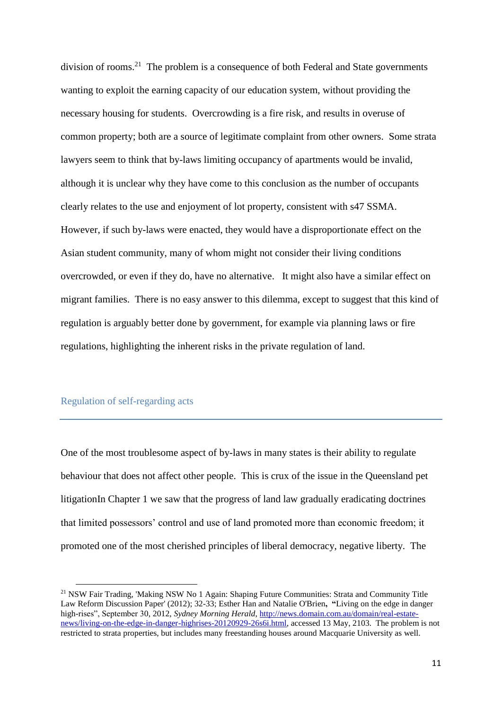division of rooms.<sup>21</sup> The problem is a consequence of both Federal and State governments wanting to exploit the earning capacity of our education system, without providing the necessary housing for students. Overcrowding is a fire risk, and results in overuse of common property; both are a source of legitimate complaint from other owners. Some strata lawyers seem to think that by-laws limiting occupancy of apartments would be invalid, although it is unclear why they have come to this conclusion as the number of occupants clearly relates to the use and enjoyment of lot property, consistent with s47 SSMA. However, if such by-laws were enacted, they would have a disproportionate effect on the Asian student community, many of whom might not consider their living conditions overcrowded, or even if they do, have no alternative. It might also have a similar effect on migrant families. There is no easy answer to this dilemma, except to suggest that this kind of regulation is arguably better done by government, for example via planning laws or fire regulations, highlighting the inherent risks in the private regulation of land.

## Regulation of self-regarding acts

**.** 

One of the most troublesome aspect of by-laws in many states is their ability to regulate behaviour that does not affect other people. This is crux of the issue in the Queensland pet litigationIn Chapter 1 we saw that the progress of land law gradually eradicating doctrines that limited possessors' control and use of land promoted more than economic freedom; it promoted one of the most cherished principles of liberal democracy, negative liberty. The

<sup>&</sup>lt;sup>21</sup> NSW Fair Trading, 'Making NSW No 1 Again: Shaping Future Communities: Strata and Community Title Law Reform Discussion Paper' (2012); 32-33; Esther Han and Natalie O'Brien**, "**Living on the edge in danger high-rises", September 30, 2012, *Sydney Morning Herald*, [http://news.domain.com.au/domain/real-estate](http://news.domain.com.au/domain/real-estate-news/living-on-the-edge-in-danger-highrises-20120929-26s6i.html)[news/living-on-the-edge-in-danger-highrises-20120929-26s6i.html,](http://news.domain.com.au/domain/real-estate-news/living-on-the-edge-in-danger-highrises-20120929-26s6i.html) accessed 13 May, 2103. The problem is not restricted to strata properties, but includes many freestanding houses around Macquarie University as well.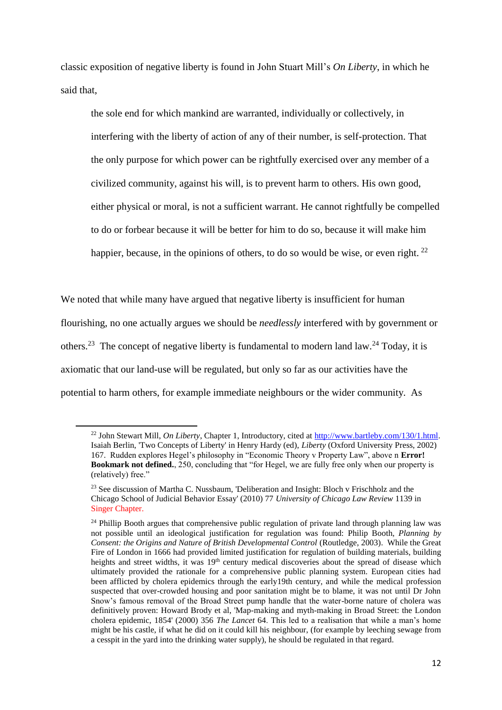classic exposition of negative liberty is found in John Stuart Mill's *On Liberty*, in which he said that,

<span id="page-11-0"></span>the sole end for which mankind are warranted, individually or collectively, in interfering with the liberty of action of any of their number, is self-protection. That the only purpose for which power can be rightfully exercised over any member of a civilized community, against his will, is to prevent harm to others. His own good, either physical or moral, is not a sufficient warrant. He cannot rightfully be compelled to do or forbear because it will be better for him to do so, because it will make him happier, because, in the opinions of others, to do so would be wise, or even right.  $^{22}$ 

We noted that while many have argued that negative liberty is insufficient for human flourishing, no one actually argues we should be *needlessly* interfered with by government or others.<sup>23</sup> The concept of negative liberty is fundamental to modern land law.<sup>24</sup> Today, it is axiomatic that our land-use will be regulated, but only so far as our activities have the potential to harm others, for example immediate neighbours or the wider community. As

 $\overline{a}$ 

<sup>22</sup> John Stewart Mill, *On Liberty*, Chapter 1, Introductory, cited at [http://www.bartleby.com/130/1.html.](http://www.bartleby.com/130/1.html) Isaiah Berlin, 'Two Concepts of Liberty' in Henry Hardy (ed), *Liberty* (Oxford University Press, 2002) 167. Rudden explores Hegel's philosophy in "Economic Theory v Property Law", above n **Error! Bookmark not defined.**, 250, concluding that "for Hegel, we are fully free only when our property is (relatively) free."

<sup>&</sup>lt;sup>23</sup> See discussion of Martha C. Nussbaum, 'Deliberation and Insight: Bloch v Frischholz and the Chicago School of Judicial Behavior Essay' (2010) 77 *University of Chicago Law Review* 1139 in Singer Chapter.

<sup>&</sup>lt;sup>24</sup> Phillip Booth argues that comprehensive public regulation of private land through planning law was not possible until an ideological justification for regulation was found: Philip Booth, *Planning by Consent: the Origins and Nature of British Developmental Control* (Routledge, 2003). While the Great Fire of London in 1666 had provided limited justification for regulation of building materials, building heights and street widths, it was 19<sup>th</sup> century medical discoveries about the spread of disease which ultimately provided the rationale for a comprehensive public planning system. European cities had been afflicted by cholera epidemics through the early19th century, and while the medical profession suspected that over-crowded housing and poor sanitation might be to blame, it was not until Dr John Snow's famous removal of the Broad Street pump handle that the water-borne nature of cholera was definitively proven: Howard Brody et al, 'Map-making and myth-making in Broad Street: the London cholera epidemic, 1854' (2000) 356 *The Lancet* 64. This led to a realisation that while a man's home might be his castle, if what he did on it could kill his neighbour, (for example by leeching sewage from a cesspit in the yard into the drinking water supply), he should be regulated in that regard.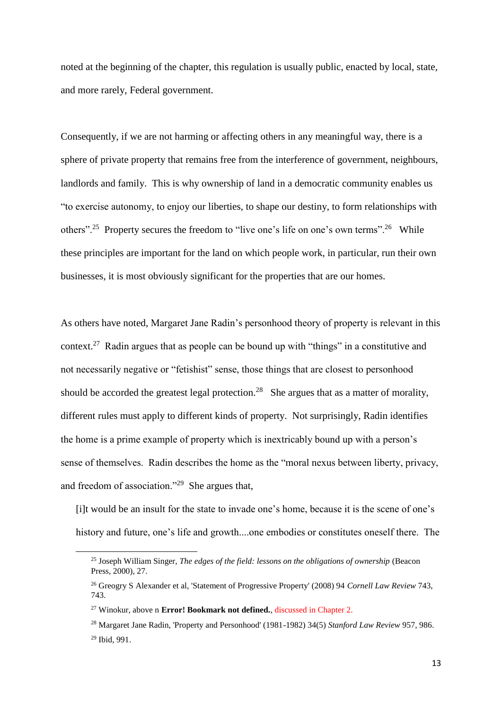noted at the beginning of the chapter, this regulation is usually public, enacted by local, state, and more rarely, Federal government.

Consequently, if we are not harming or affecting others in any meaningful way, there is a sphere of private property that remains free from the interference of government, neighbours, landlords and family. This is why ownership of land in a democratic community enables us "to exercise autonomy, to enjoy our liberties, to shape our destiny, to form relationships with others".<sup>25</sup> Property secures the freedom to "live one's life on one's own terms".<sup>26</sup> While these principles are important for the land on which people work, in particular, run their own businesses, it is most obviously significant for the properties that are our homes.

<span id="page-12-0"></span>As others have noted, Margaret Jane Radin's personhood theory of property is relevant in this context.<sup>27</sup> Radin argues that as people can be bound up with "things" in a constitutive and not necessarily negative or "fetishist" sense, those things that are closest to personhood should be accorded the greatest legal protection.<sup>28</sup> She argues that as a matter of morality, different rules must apply to different kinds of property. Not surprisingly, Radin identifies the home is a prime example of property which is inextricably bound up with a person's sense of themselves. Radin describes the home as the "moral nexus between liberty, privacy, and freedom of association."<sup>29</sup> She argues that,

[i]t would be an insult for the state to invade one's home, because it is the scene of one's history and future, one's life and growth....one embodies or constitutes oneself there. The

<sup>25</sup> Joseph William Singer, *The edges of the field: lessons on the obligations of ownership* (Beacon Press, 2000), 27.

<sup>26</sup> Greogry S Alexander et al, 'Statement of Progressive Property' (2008) 94 *Cornell Law Review* 743, 743.

<sup>&</sup>lt;sup>27</sup> Winokur, above n **Error! Bookmark not defined.**, discussed in Chapter 2.

<sup>28</sup> Margaret Jane Radin, 'Property and Personhood' (1981-1982) 34(5) *Stanford Law Review* 957, 986. <sup>29</sup> Ibid, 991.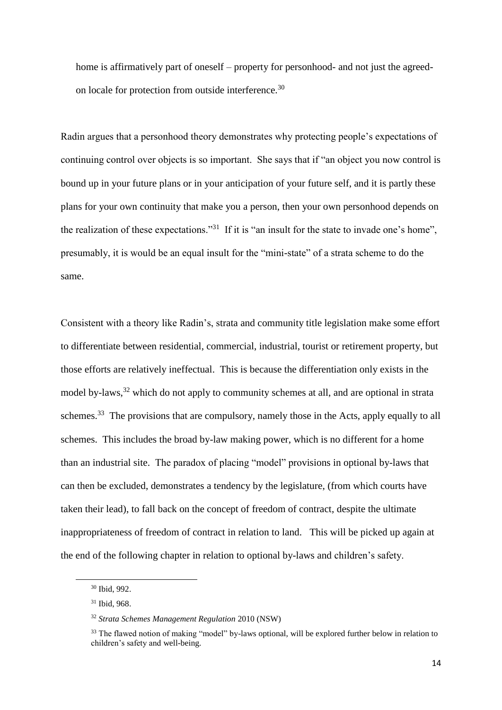home is affirmatively part of oneself – property for personhood- and not just the agreedon locale for protection from outside interference.<sup>30</sup>

Radin argues that a personhood theory demonstrates why protecting people's expectations of continuing control over objects is so important. She says that if "an object you now control is bound up in your future plans or in your anticipation of your future self, and it is partly these plans for your own continuity that make you a person, then your own personhood depends on the realization of these expectations."<sup>31</sup> If it is "an insult for the state to invade one's home", presumably, it is would be an equal insult for the "mini-state" of a strata scheme to do the same.

Consistent with a theory like Radin's, strata and community title legislation make some effort to differentiate between residential, commercial, industrial, tourist or retirement property, but those efforts are relatively ineffectual. This is because the differentiation only exists in the model by-laws,<sup>32</sup> which do not apply to community schemes at all, and are optional in strata schemes.<sup>33</sup> The provisions that are compulsory, namely those in the Acts, apply equally to all schemes. This includes the broad by-law making power, which is no different for a home than an industrial site. The paradox of placing "model" provisions in optional by-laws that can then be excluded, demonstrates a tendency by the legislature, (from which courts have taken their lead), to fall back on the concept of freedom of contract, despite the ultimate inappropriateness of freedom of contract in relation to land. This will be picked up again at the end of the following chapter in relation to optional by-laws and children's safety.

<sup>30</sup> Ibid, 992.

<sup>31</sup> Ibid, 968.

<sup>32</sup> *Strata Schemes Management Regulation* 2010 (NSW)

<sup>&</sup>lt;sup>33</sup> The flawed notion of making "model" by-laws optional, will be explored further below in relation to children's safety and well-being.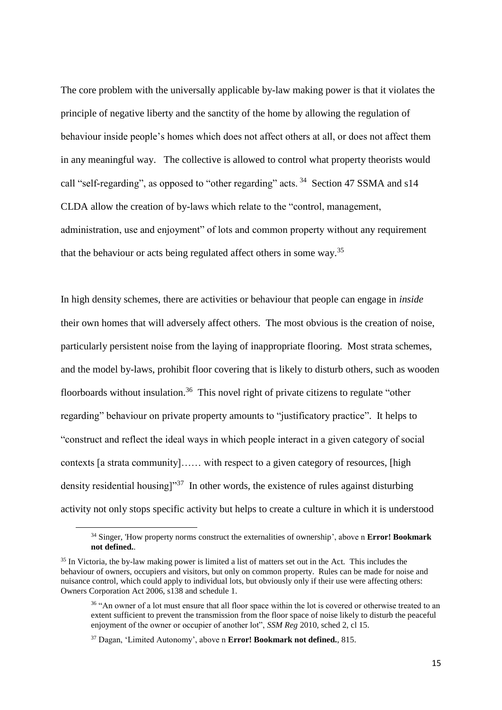The core problem with the universally applicable by-law making power is that it violates the principle of negative liberty and the sanctity of the home by allowing the regulation of behaviour inside people's homes which does not affect others at all, or does not affect them in any meaningful way. The collective is allowed to control what property theorists would call "self-regarding", as opposed to "other regarding" acts.<sup>34</sup> Section 47 SSMA and s14 CLDA allow the creation of by-laws which relate to the "control, management, administration, use and enjoyment" of lots and common property without any requirement that the behaviour or acts being regulated affect others in some way.<sup>35</sup>

In high density schemes, there are activities or behaviour that people can engage in *inside* their own homes that will adversely affect others. The most obvious is the creation of noise, particularly persistent noise from the laying of inappropriate flooring. Most strata schemes, and the model by-laws, prohibit floor covering that is likely to disturb others, such as wooden floorboards without insulation.<sup>36</sup> This novel right of private citizens to regulate "other regarding" behaviour on private property amounts to "justificatory practice". It helps to "construct and reflect the ideal ways in which people interact in a given category of social contexts [a strata community]…… with respect to a given category of resources, [high density residential housing]"<sup>37</sup> In other words, the existence of rules against disturbing activity not only stops specific activity but helps to create a culture in which it is understood

<sup>34</sup> Singer, 'How property norms construct the externalities of ownership', above n **Error! Bookmark not defined.**.

<sup>&</sup>lt;sup>35</sup> In Victoria, the by-law making power is limited a list of matters set out in the Act. This includes the behaviour of owners, occupiers and visitors, but only on common property. Rules can be made for noise and nuisance control, which could apply to individual lots, but obviously only if their use were affecting others: Owners Corporation Act 2006, s138 and schedule 1.

<sup>&</sup>lt;sup>36</sup> "An owner of a lot must ensure that all floor space within the lot is covered or otherwise treated to an extent sufficient to prevent the transmission from the floor space of noise likely to disturb the peaceful enjoyment of the owner or occupier of another lot", *SSM Reg* 2010, sched 2, cl 15.

<sup>37</sup> Dagan, 'Limited Autonomy', above n **Error! Bookmark not defined.**, 815.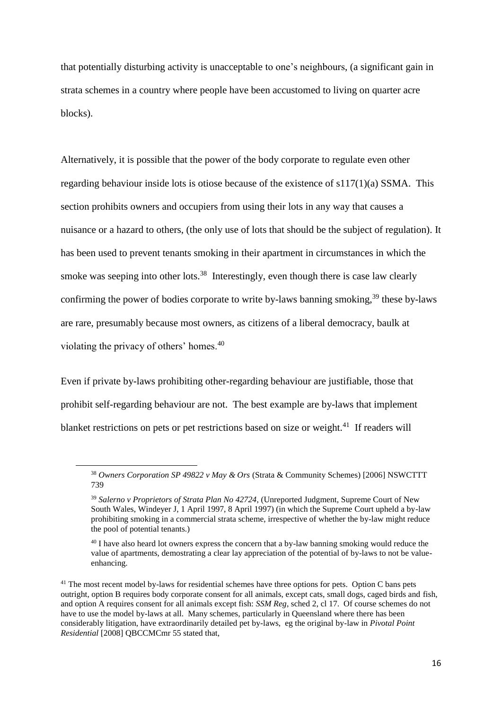that potentially disturbing activity is unacceptable to one's neighbours, (a significant gain in strata schemes in a country where people have been accustomed to living on quarter acre blocks).

Alternatively, it is possible that the power of the body corporate to regulate even other regarding behaviour inside lots is otiose because of the existence of s117(1)(a) SSMA. This section prohibits owners and occupiers from using their lots in any way that causes a nuisance or a hazard to others, (the only use of lots that should be the subject of regulation). It has been used to prevent tenants smoking in their apartment in circumstances in which the smoke was seeping into other lots. $38$  Interestingly, even though there is case law clearly confirming the power of bodies corporate to write by-laws banning smoking,  $39$  these by-laws are rare, presumably because most owners, as citizens of a liberal democracy, baulk at violating the privacy of others' homes.<sup>40</sup>

Even if private by-laws prohibiting other-regarding behaviour are justifiable, those that prohibit self-regarding behaviour are not. The best example are by-laws that implement blanket restrictions on pets or pet restrictions based on size or weight.<sup>41</sup> If readers will

<sup>38</sup> *Owners Corporation SP 49822 v May & Ors* (Strata & Community Schemes) [2006] NSWCTTT 739

<sup>39</sup> *Salerno v Proprietors of Strata Plan No 42724*, (Unreported Judgment, Supreme Court of New South Wales, Windeyer J, 1 April 1997, 8 April 1997) (in which the Supreme Court upheld a by-law prohibiting smoking in a commercial strata scheme, irrespective of whether the by-law might reduce the pool of potential tenants.)

<sup>&</sup>lt;sup>40</sup> I have also heard lot owners express the concern that a by-law banning smoking would reduce the value of apartments, demostrating a clear lay appreciation of the potential of by-laws to not be valueenhancing.

<sup>&</sup>lt;sup>41</sup> The most recent model by-laws for residential schemes have three options for pets. Option C bans pets outright, option B requires body corporate consent for all animals, except cats, small dogs, caged birds and fish, and option A requires consent for all animals except fish: *SSM Reg*, sched 2, cl 17. Of course schemes do not have to use the model by-laws at all. Many schemes, particularly in Queensland where there has been considerably litigation, have extraordinarily detailed pet by-laws, eg the original by-law in *Pivotal Point Residential* [2008] QBCCMCmr 55 stated that,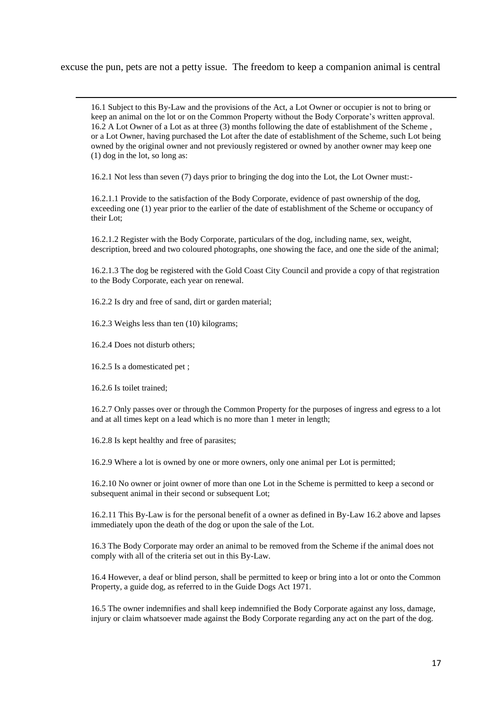excuse the pun, pets are not a petty issue. The freedom to keep a companion animal is central

16.1 Subject to this By-Law and the provisions of the Act, a Lot Owner or occupier is not to bring or keep an animal on the lot or on the Common Property without the Body Corporate's written approval. 16.2 A Lot Owner of a Lot as at three (3) months following the date of establishment of the Scheme , or a Lot Owner, having purchased the Lot after the date of establishment of the Scheme, such Lot being owned by the original owner and not previously registered or owned by another owner may keep one (1) dog in the lot, so long as:

16.2.1 Not less than seven (7) days prior to bringing the dog into the Lot, the Lot Owner must:-

16.2.1.1 Provide to the satisfaction of the Body Corporate, evidence of past ownership of the dog, exceeding one (1) year prior to the earlier of the date of establishment of the Scheme or occupancy of their Lot;

16.2.1.2 Register with the Body Corporate, particulars of the dog, including name, sex, weight, description, breed and two coloured photographs, one showing the face, and one the side of the animal;

16.2.1.3 The dog be registered with the Gold Coast City Council and provide a copy of that registration to the Body Corporate, each year on renewal.

16.2.2 Is dry and free of sand, dirt or garden material;

16.2.3 Weighs less than ten (10) kilograms;

16.2.4 Does not disturb others;

16.2.5 Is a domesticated pet ;

16.2.6 Is toilet trained;

1

16.2.7 Only passes over or through the Common Property for the purposes of ingress and egress to a lot and at all times kept on a lead which is no more than 1 meter in length;

16.2.8 Is kept healthy and free of parasites;

16.2.9 Where a lot is owned by one or more owners, only one animal per Lot is permitted;

16.2.10 No owner or joint owner of more than one Lot in the Scheme is permitted to keep a second or subsequent animal in their second or subsequent Lot;

16.2.11 This By-Law is for the personal benefit of a owner as defined in By-Law 16.2 above and lapses immediately upon the death of the dog or upon the sale of the Lot.

16.3 The Body Corporate may order an animal to be removed from the Scheme if the animal does not comply with all of the criteria set out in this By-Law.

16.4 However, a deaf or blind person, shall be permitted to keep or bring into a lot or onto the Common Property, a guide dog, as referred to in the Guide Dogs Act 1971.

16.5 The owner indemnifies and shall keep indemnified the Body Corporate against any loss, damage, injury or claim whatsoever made against the Body Corporate regarding any act on the part of the dog.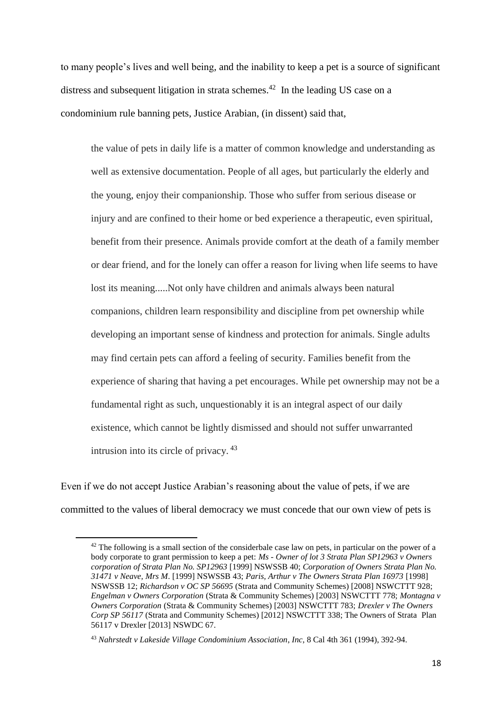to many people's lives and well being, and the inability to keep a pet is a source of significant distress and subsequent litigation in strata schemes.<sup>42</sup> In the leading US case on a condominium rule banning pets, Justice Arabian, (in dissent) said that,

<span id="page-17-0"></span>the value of pets in daily life is a matter of common knowledge and understanding as well as extensive documentation. People of all ages, but particularly the elderly and the young, enjoy their companionship. Those who suffer from serious disease or injury and are confined to their home or bed experience a therapeutic, even spiritual, benefit from their presence. Animals provide comfort at the death of a family member or dear friend, and for the lonely can offer a reason for living when life seems to have lost its meaning.....Not only have children and animals always been natural companions, children learn responsibility and discipline from pet ownership while developing an important sense of kindness and protection for animals. Single adults may find certain pets can afford a feeling of security. Families benefit from the experience of sharing that having a pet encourages. While pet ownership may not be a fundamental right as such, unquestionably it is an integral aspect of our daily existence, which cannot be lightly dismissed and should not suffer unwarranted intrusion into its circle of privacy. <sup>43</sup>

Even if we do not accept Justice Arabian's reasoning about the value of pets, if we are committed to the values of liberal democracy we must concede that our own view of pets is

 $42$  The following is a small section of the considerbale case law on pets, in particular on the power of a body corporate to grant permission to keep a pet: *Ms - Owner of lot 3 Strata Plan SP12963 v Owners corporation of Strata Plan No. SP12963* [1999] NSWSSB 40; *Corporation of Owners Strata Plan No. 31471 v Neave, Mrs M*. [1999] NSWSSB 43; *Paris, Arthur v The Owners Strata Plan 16973* [1998] NSWSSB 12; *Richardson v OC SP 56695* (Strata and Community Schemes) [2008] NSWCTTT 928; *Engelman v Owners Corporation* (Strata & Community Schemes) [2003] NSWCTTT 778; *Montagna v Owners Corporation* (Strata & Community Schemes) [2003] NSWCTTT 783; *Drexler v The Owners Corp SP 56117* (Strata and Community Schemes) [2012] NSWCTTT 338; The Owners of Strata Plan 56117 v Drexler [2013] NSWDC 67.

<sup>43</sup> *Nahrstedt v Lakeside Village Condominium Association*, *Inc*, 8 Cal 4th 361 (1994), 392-94.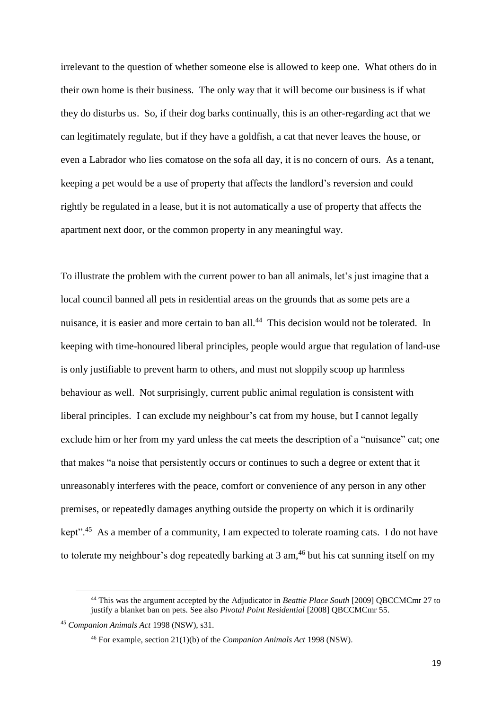irrelevant to the question of whether someone else is allowed to keep one. What others do in their own home is their business. The only way that it will become our business is if what they do disturbs us. So, if their dog barks continually, this is an other-regarding act that we can legitimately regulate, but if they have a goldfish, a cat that never leaves the house, or even a Labrador who lies comatose on the sofa all day, it is no concern of ours. As a tenant, keeping a pet would be a use of property that affects the landlord's reversion and could rightly be regulated in a lease, but it is not automatically a use of property that affects the apartment next door, or the common property in any meaningful way.

To illustrate the problem with the current power to ban all animals, let's just imagine that a local council banned all pets in residential areas on the grounds that as some pets are a nuisance, it is easier and more certain to ban all.<sup>44</sup> This decision would not be tolerated. In keeping with time-honoured liberal principles, people would argue that regulation of land-use is only justifiable to prevent harm to others, and must not sloppily scoop up harmless behaviour as well. Not surprisingly, current public animal regulation is consistent with liberal principles. I can exclude my neighbour's cat from my house, but I cannot legally exclude him or her from my yard unless the cat meets the description of a "nuisance" cat; one that makes "a noise that persistently occurs or continues to such a degree or extent that it unreasonably interferes with the peace, comfort or convenience of any person in any other premises, or repeatedly damages anything outside the property on which it is ordinarily kept".<sup>45</sup> As a member of a community, I am expected to tolerate roaming cats. I do not have to tolerate my neighbour's dog repeatedly barking at  $3 \text{ am}$ ,<sup>46</sup> but his cat sunning itself on my

<span id="page-18-0"></span>**.** 

<sup>44</sup> This was the argument accepted by the Adjudicator in *Beattie Place South* [2009] QBCCMCmr 27 to justify a blanket ban on pets. See also *Pivotal Point Residential* [2008] QBCCMCmr 55.

<sup>45</sup> *Companion Animals Act* 1998 (NSW), s31.

<sup>46</sup> For example, section 21(1)(b) of the *Companion Animals Act* 1998 (NSW).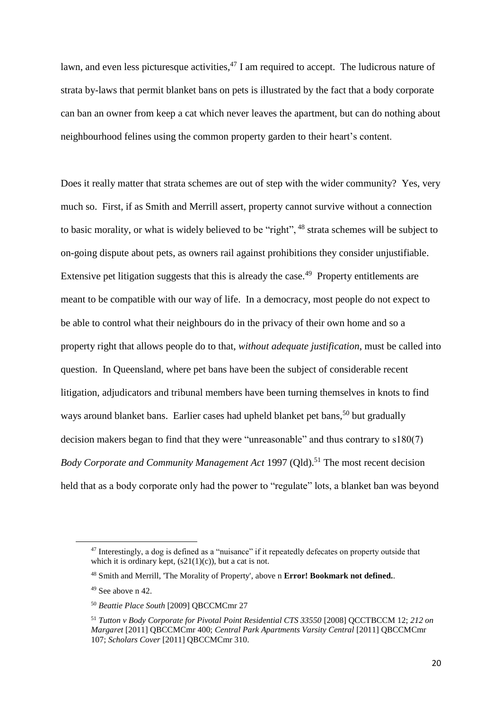lawn, and even less picturesque activities,  $47$  I am required to accept. The ludicrous nature of strata by-laws that permit blanket bans on pets is illustrated by the fact that a body corporate can ban an owner from keep a cat which never leaves the apartment, but can do nothing about neighbourhood felines using the common property garden to their heart's content.

Does it really matter that strata schemes are out of step with the wider community? Yes, very much so. First, if as Smith and Merrill assert, property cannot survive without a connection to basic morality, or what is widely believed to be "right", <sup>48</sup> strata schemes will be subject to on-going dispute about pets, as owners rail against prohibitions they consider unjustifiable. Extensive pet litigation suggests that this is already the case.<sup>49</sup> Property entitlements are meant to be compatible with our way of life. In a democracy, most people do not expect to be able to control what their neighbours do in the privacy of their own home and so a property right that allows people do to that, *without adequate justification*, must be called into question. In Queensland, where pet bans have been the subject of considerable recent litigation, adjudicators and tribunal members have been turning themselves in knots to find ways around blanket bans. Earlier cases had upheld blanket pet bans,<sup>50</sup> but gradually decision makers began to find that they were "unreasonable" and thus contrary to s180(7) *Body Corporate and Community Management Act* 1997 (Qld).<sup>51</sup> The most recent decision held that as a body corporate only had the power to "regulate" lots, a blanket ban was beyond

<sup>&</sup>lt;sup>47</sup> Interestingly, a dog is defined as a "nuisance" if it repeatedly defecates on property outside that which it is ordinary kept,  $(s21(1)(c))$ , but a cat is not.

<sup>48</sup> Smith and Merrill, 'The Morality of Property', above n **Error! Bookmark not defined.**.

<sup>49</sup> See above n [42.](#page-17-0)

<sup>50</sup> *Beattie Place South* [2009] QBCCMCmr 27

<sup>51</sup> *Tutton v Body Corporate for Pivotal Point Residential CTS 33550* [2008] QCCTBCCM 12; *212 on Margaret* [2011] QBCCMCmr 400; *Central Park Apartments Varsity Central* [2011] QBCCMCmr 107; *Scholars Cover* [2011] QBCCMCmr 310.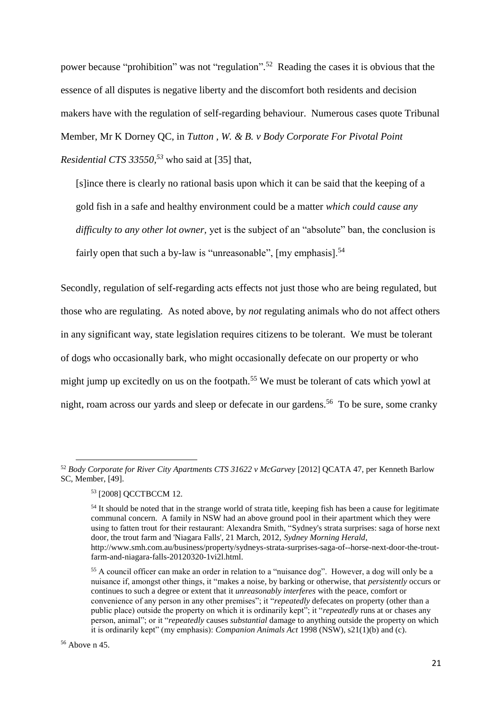power because "prohibition" was not "regulation".<sup>52</sup> Reading the cases it is obvious that the essence of all disputes is negative liberty and the discomfort both residents and decision makers have with the regulation of self-regarding behaviour. Numerous cases quote Tribunal Member, Mr K Dorney QC, in *Tutton , W. & B. v Body Corporate For Pivotal Point Residential CTS 33550, <sup>53</sup>* who said at [35] that,

[s]ince there is clearly no rational basis upon which it can be said that the keeping of a gold fish in a safe and healthy environment could be a matter *which could cause any difficulty to any other lot owner,* yet is the subject of an "absolute" ban, the conclusion is fairly open that such a by-law is "unreasonable",  $[my$  emphasis].<sup>54</sup>

Secondly, regulation of self-regarding acts effects not just those who are being regulated, but those who are regulating. As noted above, by *not* regulating animals who do not affect others in any significant way, state legislation requires citizens to be tolerant. We must be tolerant of dogs who occasionally bark, who might occasionally defecate on our property or who might jump up excitedly on us on the footpath.<sup>55</sup> We must be tolerant of cats which yowl at night, roam across our yards and sleep or defecate in our gardens.<sup>56</sup> To be sure, some cranky

<sup>52</sup> *Body Corporate for River City Apartments CTS 31622 v McGarvey* [2012] QCATA 47, per Kenneth Barlow SC, Member, [49].

<sup>53</sup> [2008] QCCTBCCM 12.

<sup>&</sup>lt;sup>54</sup> It should be noted that in the strange world of strata title, keeping fish has been a cause for legitimate communal concern. A family in NSW had an above ground pool in their apartment which they were using to fatten trout for their restaurant: Alexandra Smith, "Sydney's strata surprises: saga of horse next door, the trout farm and 'Niagara Falls', 21 March, 2012, *Sydney Morning Herald*, http://www.smh.com.au/business/property/sydneys-strata-surprises-saga-of--horse-next-door-the-troutfarm-and-niagara-falls-20120320-1vi2l.html.

<sup>55</sup> A council officer can make an order in relation to a "nuisance dog". However, a dog will only be a nuisance if, amongst other things, it "makes a noise, by barking or otherwise, that *persistently* occurs or continues to such a degree or extent that it *unreasonably interferes* with the peace, comfort or convenience of any person in any other premises"; it "*repeatedly* defecates on property (other than a public place) outside the property on which it is ordinarily kept"; it "*repeatedly* runs at or chases any person, animal"; or it "*repeatedly* causes *substantial* damage to anything outside the property on which it is ordinarily kept" (my emphasis): *Companion Animals Act* 1998 (NSW), s21(1)(b) and (c).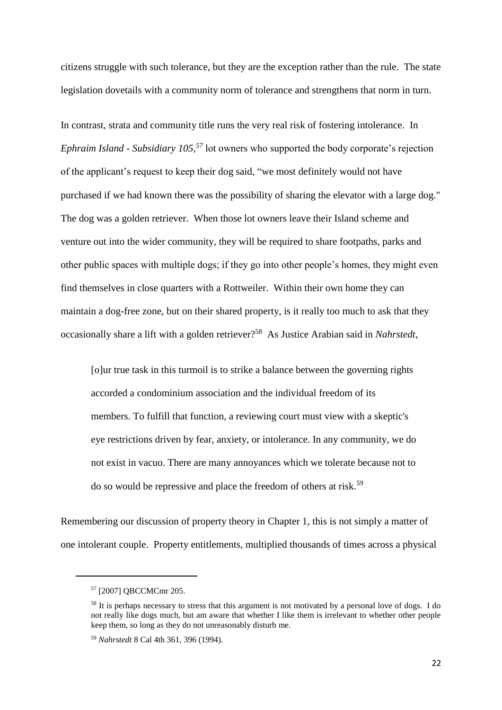citizens struggle with such tolerance, but they are the exception rather than the rule. The state legislation dovetails with a community norm of tolerance and strengthens that norm in turn.

In contrast, strata and community title runs the very real risk of fostering intolerance. In *Ephraim Island - Subsidiary 105, <sup>57</sup>* lot owners who supported the body corporate's rejection of the applicant's request to keep their dog said, "we most definitely would not have purchased if we had known there was the possibility of sharing the elevator with a large dog." The dog was a golden retriever. When those lot owners leave their Island scheme and venture out into the wider community, they will be required to share footpaths, parks and other public spaces with multiple dogs; if they go into other people's homes, they might even find themselves in close quarters with a Rottweiler. Within their own home they can maintain a dog-free zone, but on their shared property, is it really too much to ask that they occasionally share a lift with a golden retriever?<sup>58</sup> As Justice Arabian said in *Nahrstedt*,

[o]ur true task in this turmoil is to strike a balance between the governing rights accorded a condominium association and the individual freedom of its members. To fulfill that function, a reviewing court must view with a skeptic's eye restrictions driven by fear, anxiety, or intolerance. In any community, we do not exist in vacuo. There are many annoyances which we tolerate because not to do so would be repressive and place the freedom of others at risk.<sup>59</sup>

Remembering our discussion of property theory in Chapter 1, this is not simply a matter of one intolerant couple. Property entitlements, multiplied thousands of times across a physical

<sup>57</sup> [2007] QBCCMCmr 205.

<sup>&</sup>lt;sup>58</sup> It is perhaps necessary to stress that this argument is not motivated by a personal love of dogs. I do not really like dogs much, but am aware that whether I like them is irrelevant to whether other people keep them, so long as they do not unreasonably disturb me.

<sup>59</sup> *Nahrstedt* 8 Cal 4th 361, 396 (1994).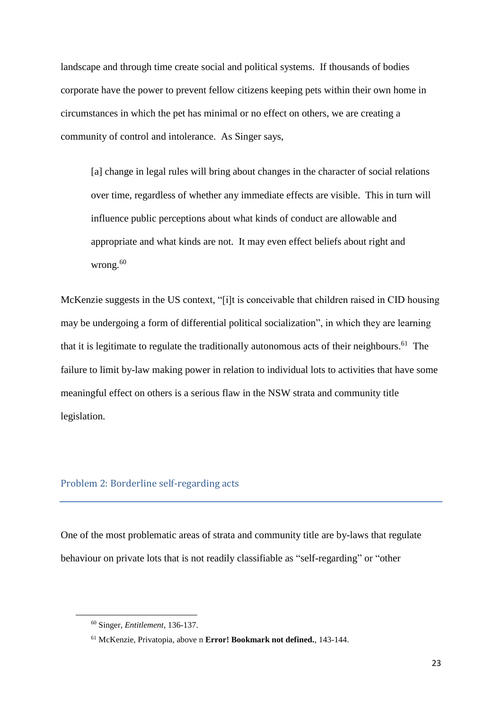landscape and through time create social and political systems. If thousands of bodies corporate have the power to prevent fellow citizens keeping pets within their own home in circumstances in which the pet has minimal or no effect on others, we are creating a community of control and intolerance. As Singer says,

[a] change in legal rules will bring about changes in the character of social relations over time, regardless of whether any immediate effects are visible. This in turn will influence public perceptions about what kinds of conduct are allowable and appropriate and what kinds are not. It may even effect beliefs about right and wrong.<sup>60</sup>

McKenzie suggests in the US context, "[i]t is conceivable that children raised in CID housing may be undergoing a form of differential political socialization", in which they are learning that it is legitimate to regulate the traditionally autonomous acts of their neighbours.<sup>61</sup> The failure to limit by-law making power in relation to individual lots to activities that have some meaningful effect on others is a serious flaw in the NSW strata and community title legislation.

# Problem 2: Borderline self-regarding acts

One of the most problematic areas of strata and community title are by-laws that regulate behaviour on private lots that is not readily classifiable as "self-regarding" or "other

<sup>60</sup> Singer, *Entitlement*, 136-137.

<sup>61</sup> McKenzie, Privatopia, above n **Error! Bookmark not defined.**, 143-144.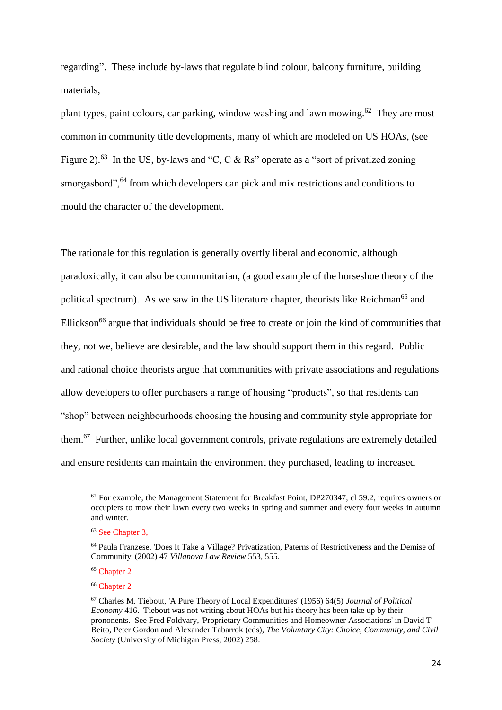regarding". These include by-laws that regulate blind colour, balcony furniture, building materials,

plant types, paint colours, car parking, window washing and lawn mowing.<sup>62</sup> They are most common in community title developments, many of which are modeled on US HOAs, (see [Figure 2\)](#page-26-0).<sup>63</sup> In the US, by-laws and "C, C & Rs" operate as a "sort of privatized zoning smorgasbord",<sup>64</sup> from which developers can pick and mix restrictions and conditions to mould the character of the development.

The rationale for this regulation is generally overtly liberal and economic, although paradoxically, it can also be communitarian, (a good example of the horseshoe theory of the political spectrum). As we saw in the US literature chapter, theorists like Reichman<sup>65</sup> and Ellickson<sup>66</sup> argue that individuals should be free to create or join the kind of communities that they, not we, believe are desirable, and the law should support them in this regard. Public and rational choice theorists argue that communities with private associations and regulations allow developers to offer purchasers a range of housing "products", so that residents can "shop" between neighbourhoods choosing the housing and community style appropriate for them.<sup>67</sup> Further, unlike local government controls, private regulations are extremely detailed and ensure residents can maintain the environment they purchased, leading to increased

 $62$  For example, the Management Statement for Breakfast Point, DP270347, cl 59.2, requires owners or occupiers to mow their lawn every two weeks in spring and summer and every four weeks in autumn and winter.

<sup>&</sup>lt;sup>63</sup> See Chapter 3.

<sup>64</sup> Paula Franzese, 'Does It Take a Village? Privatization, Paterns of Restrictiveness and the Demise of Community' (2002) 47 *Villanova Law Review* 553, 555.

<sup>&</sup>lt;sup>65</sup> Chapter 2

<sup>66</sup> Chapter 2

<sup>67</sup> Charles M. Tiebout, 'A Pure Theory of Local Expenditures' (1956) 64(5) *Journal of Political Economy* 416. Tiebout was not writing about HOAs but his theory has been take up by their prononents. See Fred Foldvary, 'Proprietary Communities and Homeowner Associations' in David T Beito, Peter Gordon and Alexander Tabarrok (eds), *The Voluntary City: Choice, Community, and Civil Society* (University of Michigan Press, 2002) 258.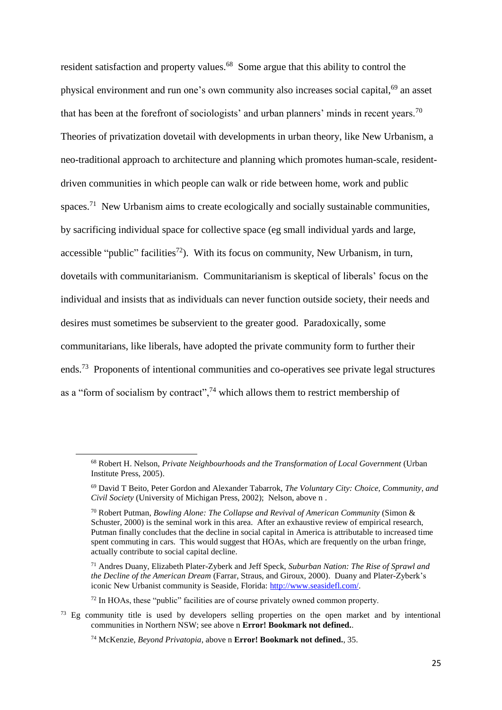resident satisfaction and property values.<sup>68</sup> Some argue that this ability to control the physical environment and run one's own community also increases social capital,<sup>69</sup> an asset that has been at the forefront of sociologists' and urban planners' minds in recent years.<sup>70</sup> Theories of privatization dovetail with developments in urban theory, like New Urbanism, a neo-traditional approach to architecture and planning which promotes human-scale, residentdriven communities in which people can walk or ride between home, work and public spaces.<sup>71</sup> New Urbanism aims to create ecologically and socially sustainable communities, by sacrificing individual space for collective space (eg small individual yards and large, accessible "public" facilities<sup>72</sup>). With its focus on community, New Urbanism, in turn, dovetails with communitarianism. Communitarianism is skeptical of liberals' focus on the individual and insists that as individuals can never function outside society, their needs and desires must sometimes be subservient to the greater good. Paradoxically, some communitarians, like liberals, have adopted the private community form to further their ends.<sup>73</sup> Proponents of intentional communities and co-operatives see private legal structures as a "form of socialism by contract",  $74$  which allows them to restrict membership of

<sup>68</sup> Robert H. Nelson, *Private Neighbourhoods and the Transformation of Local Government* (Urban Institute Press, 2005).

<sup>69</sup> David T Beito, Peter Gordon and Alexander Tabarrok, *The Voluntary City: Choice, Community, and Civil Society* (University of Michigan Press, 2002); Nelson, above n .

<sup>70</sup> Robert Putman, *Bowling Alone: The Collapse and Revival of American Community* (Simon & Schuster, 2000) is the seminal work in this area. After an exhaustive review of empirical research, Putman finally concludes that the decline in social capital in America is attributable to increased time spent commuting in cars. This would suggest that HOAs, which are frequently on the urban fringe, actually contribute to social capital decline.

<sup>71</sup> Andres Duany, Elizabeth Plater-Zyberk and Jeff Speck, *Suburban Nation: The Rise of Sprawl and the Decline of the American Dream* (Farrar, Straus, and Giroux, 2000). Duany and Plater-Zyberk's iconic New Urbanist community is Seaside, Florida: [http://www.seasidefl.com/.](http://www.seasidefl.com/)

 $72$  In HOAs, these "public" facilities are of course privately owned common property.

<sup>&</sup>lt;sup>73</sup> Eg community title is used by developers selling properties on the open market and by intentional communities in Northern NSW; see above n **Error! Bookmark not defined.**.

<sup>74</sup> McKenzie, *Beyond Privatopia*, above n **Error! Bookmark not defined.**, 35.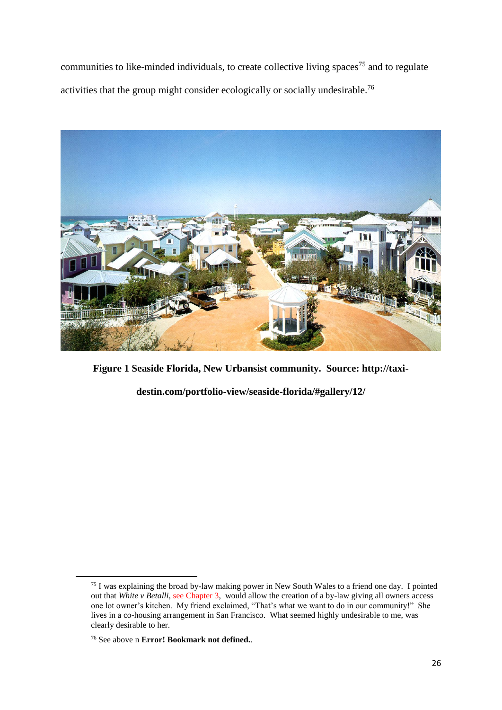communities to like-minded individuals, to create collective living spaces<sup>75</sup> and to regulate activities that the group might consider ecologically or socially undesirable.<sup>76</sup>



**Figure 1 Seaside Florida, New Urbansist community. Source: http://taxi-**

**destin.com/portfolio-view/seaside-florida/#gallery/12/**

<sup>&</sup>lt;sup>75</sup> I was explaining the broad by-law making power in New South Wales to a friend one day. I pointed out that *White v Betalli*, see Chapter 3, would allow the creation of a by-law giving all owners access one lot owner's kitchen. My friend exclaimed, "That's what we want to do in our community!" She lives in a co-housing arrangement in San Francisco. What seemed highly undesirable to me, was clearly desirable to her.

<sup>76</sup> See above n **Error! Bookmark not defined.**.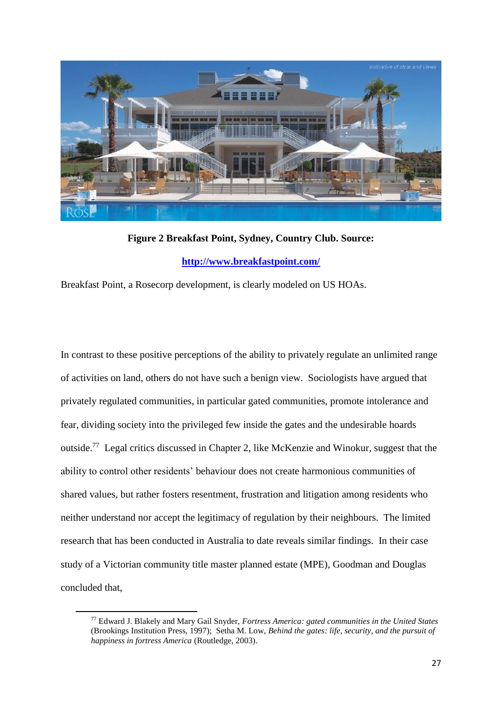

**Figure 2 Breakfast Point, Sydney, Country Club. Source: <http://www.breakfastpoint.com/>**

<span id="page-26-0"></span>Breakfast Point, a Rosecorp development, is clearly modeled on US HOAs.

In contrast to these positive perceptions of the ability to privately regulate an unlimited range of activities on land, others do not have such a benign view. Sociologists have argued that privately regulated communities, in particular gated communities, promote intolerance and fear, dividing society into the privileged few inside the gates and the undesirable hoards outside.<sup>77</sup> Legal critics discussed in Chapter 2, like McKenzie and Winokur, suggest that the ability to control other residents' behaviour does not create harmonious communities of shared values, but rather fosters resentment, frustration and litigation among residents who neither understand nor accept the legitimacy of regulation by their neighbours. The limited research that has been conducted in Australia to date reveals similar findings. In their case study of a Victorian community title master planned estate (MPE), Goodman and Douglas concluded that,

<sup>77</sup> Edward J. Blakely and Mary Gail Snyder, *Fortress America: gated communities in the United States* (Brookings Institution Press, 1997); Setha M. Low, *Behind the gates: life, security, and the pursuit of happiness in fortress America* (Routledge, 2003).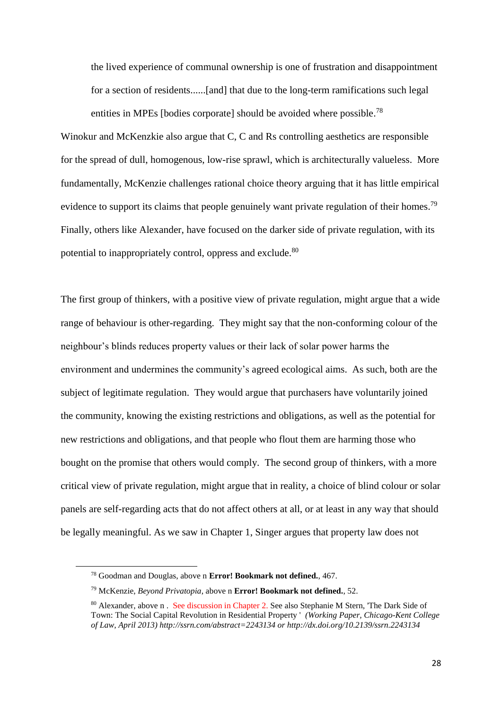the lived experience of communal ownership is one of frustration and disappointment for a section of residents......[and] that due to the long-term ramifications such legal entities in MPEs [bodies corporate] should be avoided where possible. 78

Winokur and McKenzkie also argue that C, C and Rs controlling aesthetics are responsible for the spread of dull, homogenous, low-rise sprawl, which is architecturally valueless. More fundamentally, McKenzie challenges rational choice theory arguing that it has little empirical evidence to support its claims that people genuinely want private regulation of their homes.<sup>79</sup> Finally, others like Alexander, have focused on the darker side of private regulation, with its potential to inappropriately control, oppress and exclude.<sup>80</sup>

The first group of thinkers, with a positive view of private regulation, might argue that a wide range of behaviour is other-regarding. They might say that the non-conforming colour of the neighbour's blinds reduces property values or their lack of solar power harms the environment and undermines the community's agreed ecological aims. As such, both are the subject of legitimate regulation. They would argue that purchasers have voluntarily joined the community, knowing the existing restrictions and obligations, as well as the potential for new restrictions and obligations, and that people who flout them are harming those who bought on the promise that others would comply. The second group of thinkers, with a more critical view of private regulation, might argue that in reality, a choice of blind colour or solar panels are self-regarding acts that do not affect others at all, or at least in any way that should be legally meaningful. As we saw in Chapter 1, Singer argues that property law does not

<sup>78</sup> Goodman and Douglas, above n **Error! Bookmark not defined.**, 467.

<sup>79</sup> McKenzie, *Beyond Privatopia*, above n **Error! Bookmark not defined.**, 52.

<sup>80</sup> Alexander, above n . See discussion in Chapter 2. See also Stephanie M Stern, 'The Dark Side of Town: The Social Capital Revolution in Residential Property ' *(Working Paper, Chicago-Kent College of Law, April 2013) http://ssrn.com/abstract=2243134 or http://dx.doi.org/10.2139/ssrn.2243134*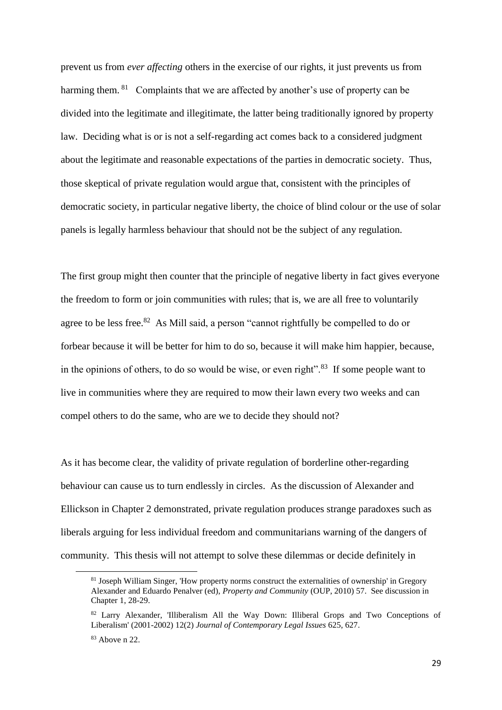prevent us from *ever affecting* others in the exercise of our rights, it just prevents us from harming them. <sup>81</sup> Complaints that we are affected by another's use of property can be divided into the legitimate and illegitimate, the latter being traditionally ignored by property law. Deciding what is or is not a self-regarding act comes back to a considered judgment about the legitimate and reasonable expectations of the parties in democratic society. Thus, those skeptical of private regulation would argue that, consistent with the principles of democratic society, in particular negative liberty, the choice of blind colour or the use of solar panels is legally harmless behaviour that should not be the subject of any regulation.

The first group might then counter that the principle of negative liberty in fact gives everyone the freedom to form or join communities with rules; that is, we are all free to voluntarily agree to be less free.<sup>82</sup> As Mill said, a person "cannot rightfully be compelled to do or forbear because it will be better for him to do so, because it will make him happier, because, in the opinions of others, to do so would be wise, or even right". $83$  If some people want to live in communities where they are required to mow their lawn every two weeks and can compel others to do the same, who are we to decide they should not?

As it has become clear, the validity of private regulation of borderline other-regarding behaviour can cause us to turn endlessly in circles. As the discussion of Alexander and Ellickson in Chapter 2 demonstrated, private regulation produces strange paradoxes such as liberals arguing for less individual freedom and communitarians warning of the dangers of community. This thesis will not attempt to solve these dilemmas or decide definitely in

<sup>81</sup> Joseph William Singer, 'How property norms construct the externalities of ownership' in Gregory Alexander and Eduardo Penalver (ed), *Property and Community* (OUP, 2010) 57. See discussion in Chapter 1, 28-29.

<sup>82</sup> Larry Alexander, 'Illiberalism All the Way Down: Illiberal Grops and Two Conceptions of Liberalism' (2001-2002) 12(2) *Journal of Contemporary Legal Issues* 625, 627.

<sup>83</sup> Above [n 22.](#page-11-0)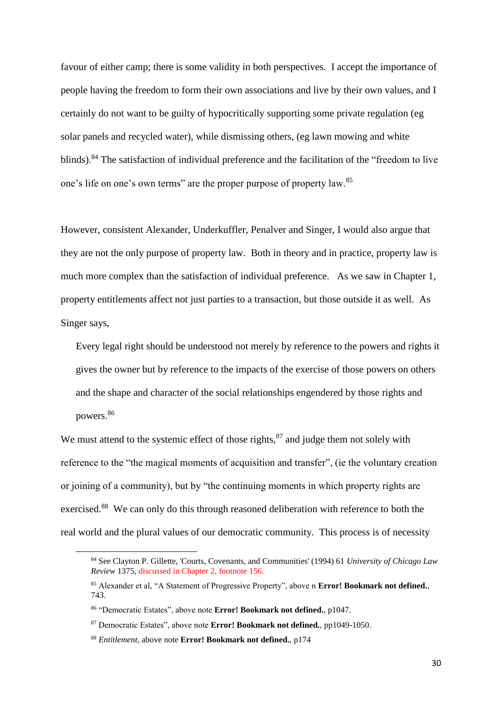favour of either camp; there is some validity in both perspectives. I accept the importance of people having the freedom to form their own associations and live by their own values, and I certainly do not want to be guilty of hypocritically supporting some private regulation (eg solar panels and recycled water), while dismissing others, (eg lawn mowing and white blinds).<sup>84</sup> The satisfaction of individual preference and the facilitation of the "freedom to live one's life on one's own terms" are the proper purpose of property law.<sup>85</sup>

However, consistent Alexander, Underkuffler, Penalver and Singer, I would also argue that they are not the only purpose of property law. Both in theory and in practice, property law is much more complex than the satisfaction of individual preference. As we saw in Chapter 1, property entitlements affect not just parties to a transaction, but those outside it as well. As Singer says,

Every legal right should be understood not merely by reference to the powers and rights it gives the owner but by reference to the impacts of the exercise of those powers on others and the shape and character of the social relationships engendered by those rights and powers.<sup>86</sup>

We must attend to the systemic effect of those rights, $^{87}$  and judge them not solely with reference to the "the magical moments of acquisition and transfer", (ie the voluntary creation or joining of a community), but by "the continuing moments in which property rights are exercised.<sup>88</sup> We can only do this through reasoned deliberation with reference to both the real world and the plural values of our democratic community. This process is of necessity

<sup>84</sup> See Clayton P. Gillette, 'Courts, Covenants, and Communities' (1994) 61 *University of Chicago Law Review* 1375, discussed in Chapter 2, footnote 156.

<sup>85</sup> Alexander et al, "A Statement of Progressive Property", above n **Error! Bookmark not defined.**, 743.

<sup>86</sup> "Democratic Estates", above note **Error! Bookmark not defined.**, p1047.

<sup>87</sup> Democratic Estates", above note **Error! Bookmark not defined.**, pp1049-1050.

<sup>88</sup> *Entitlement*, above note **Error! Bookmark not defined.**, p174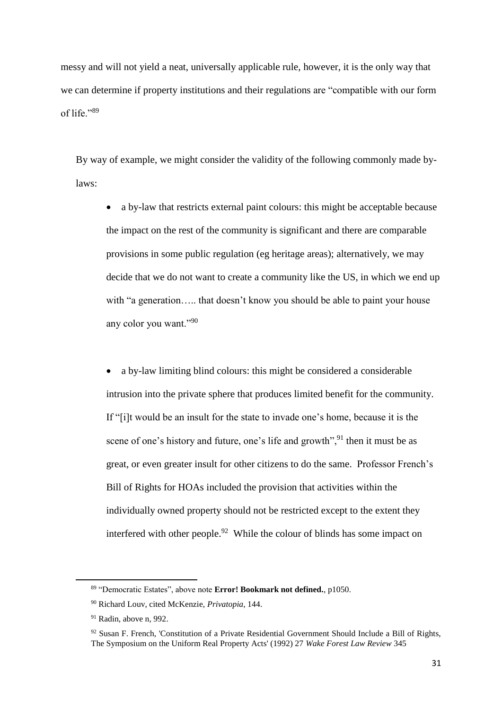messy and will not yield a neat, universally applicable rule, however, it is the only way that we can determine if property institutions and their regulations are "compatible with our form of life."89

By way of example, we might consider the validity of the following commonly made bylaws:

• a by-law that restricts external paint colours: this might be acceptable because the impact on the rest of the community is significant and there are comparable provisions in some public regulation (eg heritage areas); alternatively, we may decide that we do not want to create a community like the US, in which we end up with "a generation..... that doesn't know you should be able to paint your house any color you want."<sup>90</sup>

• a by-law limiting blind colours: this might be considered a considerable intrusion into the private sphere that produces limited benefit for the community. If "[i]t would be an insult for the state to invade one's home, because it is the scene of one's history and future, one's life and growth",<sup>91</sup> then it must be as great, or even greater insult for other citizens to do the same. Professor French's Bill of Rights for HOAs included the provision that activities within the individually owned property should not be restricted except to the extent they interfered with other people. $92$  While the colour of blinds has some impact on

<span id="page-30-0"></span><sup>89</sup> "Democratic Estates", above note **Error! Bookmark not defined.**, p1050.

<sup>90</sup> Richard Louv, cited McKenzie, *Privatopia*, 144.

<sup>91</sup> Radin, above n, 992.

 $92$  Susan F. French, 'Constitution of a Private Residential Government Should Include a Bill of Rights, The Symposium on the Uniform Real Property Acts' (1992) 27 *Wake Forest Law Review* 345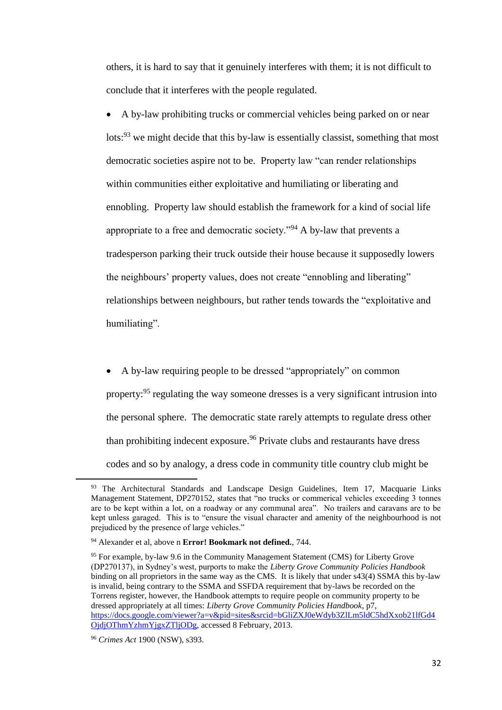others, it is hard to say that it genuinely interferes with them; it is not difficult to conclude that it interferes with the people regulated.

• A by-law prohibiting trucks or commercial vehicles being parked on or near lots:<sup>93</sup> we might decide that this by-law is essentially classist, something that most democratic societies aspire not to be. Property law "can render relationships within communities either exploitative and humiliating or liberating and ennobling. Property law should establish the framework for a kind of social life appropriate to a free and democratic society."<sup>94</sup> A by-law that prevents a tradesperson parking their truck outside their house because it supposedly lowers the neighbours' property values, does not create "ennobling and liberating" relationships between neighbours, but rather tends towards the "exploitative and humiliating".

• A by-law requiring people to be dressed "appropriately" on common property:<sup>95</sup> regulating the way someone dresses is a very significant intrusion into the personal sphere. The democratic state rarely attempts to regulate dress other than prohibiting indecent exposure. <sup>96</sup> Private clubs and restaurants have dress codes and so by analogy, a dress code in community title country club might be

<sup>&</sup>lt;sup>93</sup> The Architectural Standards and Landscape Design Guidelines, Item 17, Macquarie Links Management Statement, DP270152, states that "no trucks or commerical vehicles exceeding 3 tonnes are to be kept within a lot, on a roadway or any communal area". No trailers and caravans are to be kept unless garaged. This is to "ensure the visual character and amenity of the neighbourhood is not prejudiced by the presence of large vehicles."

<sup>94</sup> Alexander et al, above n **Error! Bookmark not defined.**, 744.

<sup>95</sup> For example, by-law 9.6 in the Community Management Statement (CMS) for Liberty Grove (DP270137), in Sydney's west, purports to make the *Liberty Grove Community Policies Handbook*  binding on all proprietors in the same way as the CMS. It is likely that under s43(4) SSMA this by-law is invalid, being contrary to the SSMA and SSFDA requirement that by-laws be recorded on the Torrens register, however, the Handbook attempts to require people on community property to be dressed appropriately at all times: *Liberty Grove Community Policies Handbook*, p7, [https://docs.google.com/viewer?a=v&pid=sites&srcid=bGliZXJ0eWdyb3ZlLm5ldC5hdXxob21lfGd4](https://docs.google.com/viewer?a=v&pid=sites&srcid=bGliZXJ0eWdyb3ZlLm5ldC5hdXxob21lfGd4OjdjOThmYzhmYjgxZTljODg) [OjdjOThmYzhmYjgxZTljODg,](https://docs.google.com/viewer?a=v&pid=sites&srcid=bGliZXJ0eWdyb3ZlLm5ldC5hdXxob21lfGd4OjdjOThmYzhmYjgxZTljODg) accessed 8 February, 2013.

<sup>96</sup> *Crimes Act* 1900 (NSW), s393.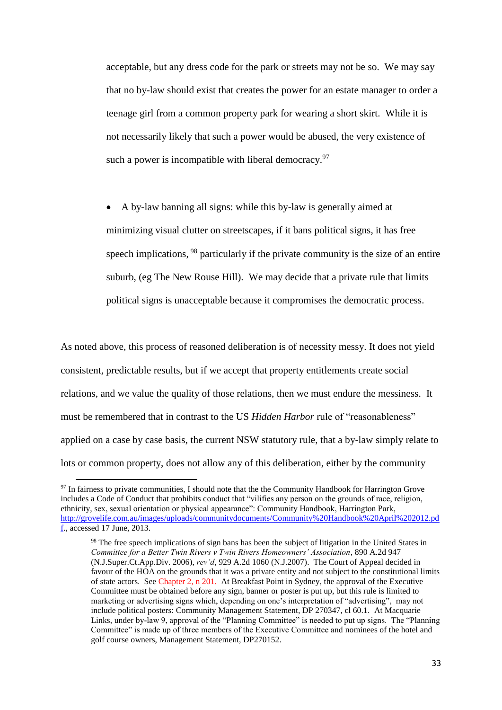acceptable, but any dress code for the park or streets may not be so. We may say that no by-law should exist that creates the power for an estate manager to order a teenage girl from a common property park for wearing a short skirt. While it is not necessarily likely that such a power would be abused, the very existence of such a power is incompatible with liberal democracy.<sup>97</sup>

• A by-law banning all signs: while this by-law is generally aimed at minimizing visual clutter on streetscapes, if it bans political signs, it has free speech implications, <sup>98</sup> particularly if the private community is the size of an entire suburb, (eg The New Rouse Hill). We may decide that a private rule that limits political signs is unacceptable because it compromises the democratic process.

As noted above, this process of reasoned deliberation is of necessity messy. It does not yield consistent, predictable results, but if we accept that property entitlements create social relations, and we value the quality of those relations, then we must endure the messiness. It must be remembered that in contrast to the US *Hidden Harbor* rule of "reasonableness" applied on a case by case basis, the current NSW statutory rule, that a by-law simply relate to lots or common property, does not allow any of this deliberation, either by the community

<sup>&</sup>lt;sup>97</sup> In fairness to private communities, I should note that the the Community Handbook for Harrington Grove includes a Code of Conduct that prohibits conduct that "vilifies any person on the grounds of race, religion, ethnicity, sex, sexual orientation or physical appearance": Community Handbook, Harrington Park, [http://grovelife.com.au/images/uploads/communitydocuments/Community%20Handbook%20April%202012.pd](http://grovelife.com.au/images/uploads/communitydocuments/Community%20Handbook%20April%202012.pdf) [f.,](http://grovelife.com.au/images/uploads/communitydocuments/Community%20Handbook%20April%202012.pdf) accessed 17 June, 2013.

<sup>&</sup>lt;sup>98</sup> The free speech implications of sign bans has been the subject of litigation in the United States in *Committee for a Better Twin Rivers v Twin Rivers Homeowners' Association*, 890 A.2d 947 (N.J.Super.Ct.App.Div. 2006), *rev'd*, 929 A.2d 1060 (N.J.2007). The Court of Appeal decided in favour of the HOA on the grounds that it was a private entity and not subject to the constitutional limits of state actors. See Chapter 2, n 201. At Breakfast Point in Sydney, the approval of the Executive Committee must be obtained before any sign, banner or poster is put up, but this rule is limited to marketing or advertising signs which, depending on one's interpretation of "advertising", may not include political posters: Community Management Statement, DP 270347, cl 60.1. At Macquarie Links, under by-law 9, approval of the "Planning Committee" is needed to put up signs. The "Planning Committee" is made up of three members of the Executive Committee and nominees of the hotel and golf course owners, Management Statement, DP270152.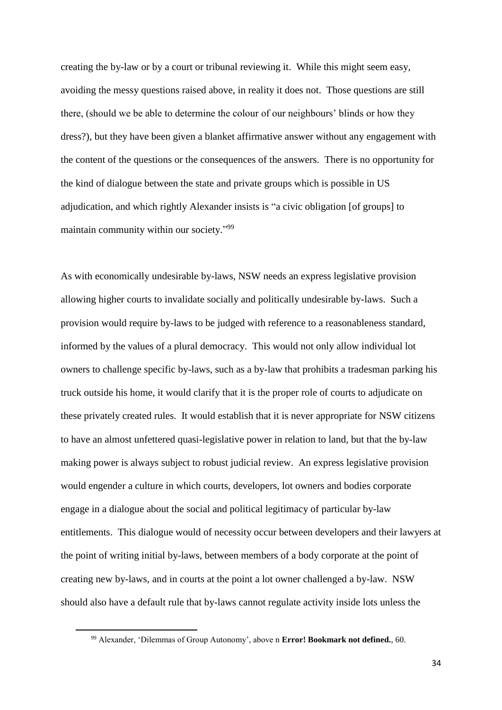creating the by-law or by a court or tribunal reviewing it. While this might seem easy, avoiding the messy questions raised above, in reality it does not. Those questions are still there, (should we be able to determine the colour of our neighbours' blinds or how they dress?), but they have been given a blanket affirmative answer without any engagement with the content of the questions or the consequences of the answers. There is no opportunity for the kind of dialogue between the state and private groups which is possible in US adjudication, and which rightly Alexander insists is "a civic obligation [of groups] to maintain community within our society."<sup>99</sup>

As with economically undesirable by-laws, NSW needs an express legislative provision allowing higher courts to invalidate socially and politically undesirable by-laws. Such a provision would require by-laws to be judged with reference to a reasonableness standard, informed by the values of a plural democracy. This would not only allow individual lot owners to challenge specific by-laws, such as a by-law that prohibits a tradesman parking his truck outside his home, it would clarify that it is the proper role of courts to adjudicate on these privately created rules. It would establish that it is never appropriate for NSW citizens to have an almost unfettered quasi-legislative power in relation to land, but that the by-law making power is always subject to robust judicial review. An express legislative provision would engender a culture in which courts, developers, lot owners and bodies corporate engage in a dialogue about the social and political legitimacy of particular by-law entitlements. This dialogue would of necessity occur between developers and their lawyers at the point of writing initial by-laws, between members of a body corporate at the point of creating new by-laws, and in courts at the point a lot owner challenged a by-law. NSW should also have a default rule that by-laws cannot regulate activity inside lots unless the

**.** 

<sup>99</sup> Alexander, 'Dilemmas of Group Autonomy', above n **Error! Bookmark not defined.**, 60.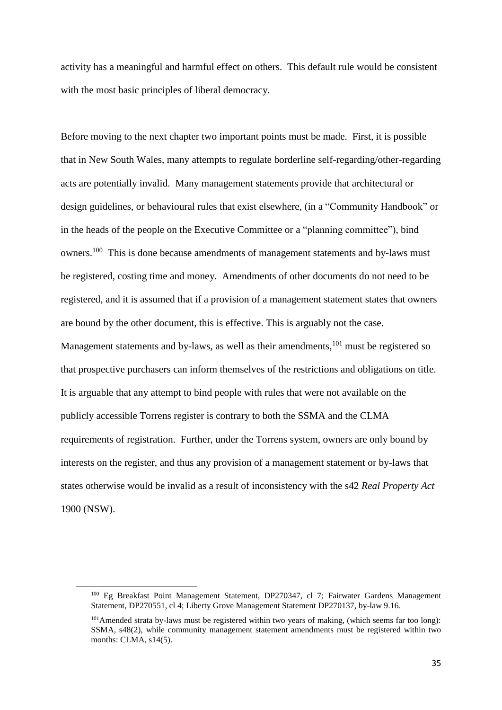activity has a meaningful and harmful effect on others. This default rule would be consistent with the most basic principles of liberal democracy.

Before moving to the next chapter two important points must be made. First, it is possible that in New South Wales, many attempts to regulate borderline self-regarding/other-regarding acts are potentially invalid. Many management statements provide that architectural or design guidelines, or behavioural rules that exist elsewhere, (in a "Community Handbook" or in the heads of the people on the Executive Committee or a "planning committee"), bind owners.<sup>100</sup> This is done because amendments of management statements and by-laws must be registered, costing time and money. Amendments of other documents do not need to be registered, and it is assumed that if a provision of a management statement states that owners are bound by the other document, this is effective. This is arguably not the case. Management statements and by-laws, as well as their amendments,<sup>101</sup> must be registered so that prospective purchasers can inform themselves of the restrictions and obligations on title. It is arguable that any attempt to bind people with rules that were not available on the publicly accessible Torrens register is contrary to both the SSMA and the CLMA requirements of registration. Further, under the Torrens system, owners are only bound by interests on the register, and thus any provision of a management statement or by-laws that states otherwise would be invalid as a result of inconsistency with the s42 *Real Property Act* 1900 (NSW).

<sup>100</sup> Eg Breakfast Point Management Statement, DP270347, cl 7; Fairwater Gardens Management Statement, DP270551, cl 4; Liberty Grove Management Statement DP270137, by-law 9.16.

 $101$ Amended strata by-laws must be registered within two years of making, (which seems far too long): SSMA, s48(2), while community management statement amendments must be registered within two months: CLMA, s14(5).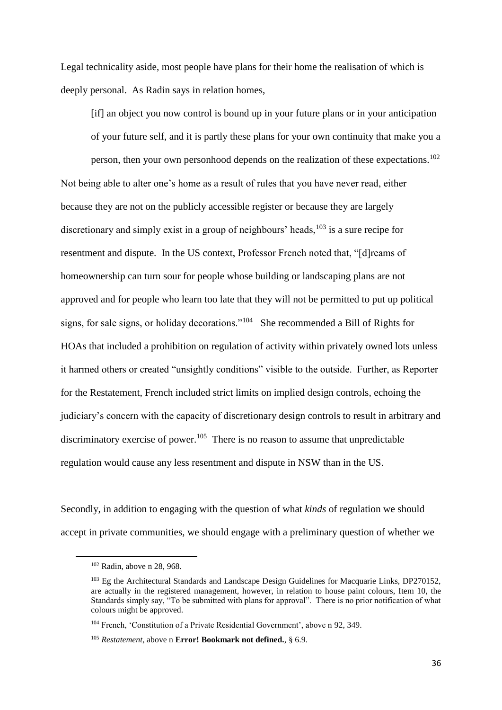Legal technicality aside, most people have plans for their home the realisation of which is deeply personal. As Radin says in relation homes,

[if] an object you now control is bound up in your future plans or in your anticipation of your future self, and it is partly these plans for your own continuity that make you a

person, then your own personhood depends on the realization of these expectations.<sup>102</sup> Not being able to alter one's home as a result of rules that you have never read, either because they are not on the publicly accessible register or because they are largely discretionary and simply exist in a group of neighbours' heads,  $103$  is a sure recipe for resentment and dispute. In the US context, Professor French noted that, "[d]reams of homeownership can turn sour for people whose building or landscaping plans are not approved and for people who learn too late that they will not be permitted to put up political signs, for sale signs, or holiday decorations."<sup>104</sup> She recommended a Bill of Rights for HOAs that included a prohibition on regulation of activity within privately owned lots unless it harmed others or created "unsightly conditions" visible to the outside. Further, as Reporter for the Restatement, French included strict limits on implied design controls, echoing the judiciary's concern with the capacity of discretionary design controls to result in arbitrary and discriminatory exercise of power.<sup>105</sup> There is no reason to assume that unpredictable regulation would cause any less resentment and dispute in NSW than in the US.

Secondly, in addition to engaging with the question of what *kinds* of regulation we should accept in private communities, we should engage with a preliminary question of whether we

<sup>102</sup> Radin, above n [28,](#page-12-0) 968.

<sup>&</sup>lt;sup>103</sup> Eg the Architectural Standards and Landscape Design Guidelines for Macquarie Links, DP270152, are actually in the registered management, however, in relation to house paint colours, Item 10, the Standards simply say, "To be submitted with plans for approval". There is no prior notification of what colours might be approved.

<sup>104</sup> French, 'Constitution of a Private Residential Government', above n [92,](#page-30-0) 349.

<sup>105</sup> *Restatement*, above n **Error! Bookmark not defined.**, § 6.9.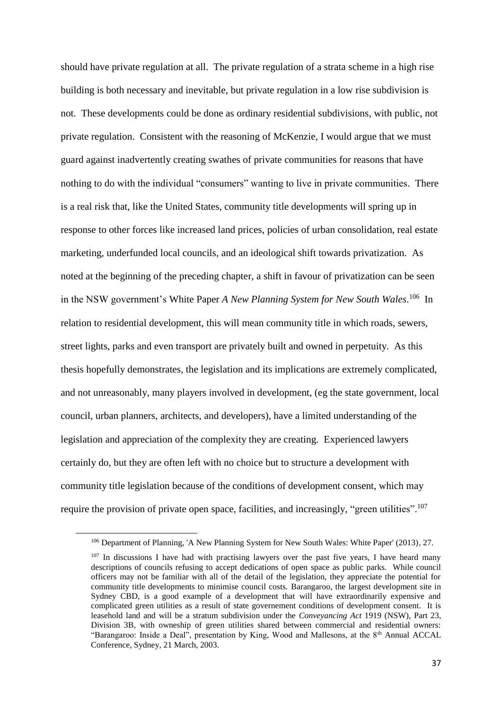should have private regulation at all. The private regulation of a strata scheme in a high rise building is both necessary and inevitable, but private regulation in a low rise subdivision is not. These developments could be done as ordinary residential subdivisions, with public, not private regulation. Consistent with the reasoning of McKenzie, I would argue that we must guard against inadvertently creating swathes of private communities for reasons that have nothing to do with the individual "consumers" wanting to live in private communities. There is a real risk that, like the United States, community title developments will spring up in response to other forces like increased land prices, policies of urban consolidation, real estate marketing, underfunded local councils, and an ideological shift towards privatization. As noted at the beginning of the preceding chapter, a shift in favour of privatization can be seen in the NSW government's White Paper *A New Planning System for New South Wales*. 106 In relation to residential development, this will mean community title in which roads, sewers, street lights, parks and even transport are privately built and owned in perpetuity. As this thesis hopefully demonstrates, the legislation and its implications are extremely complicated, and not unreasonably, many players involved in development, (eg the state government, local council, urban planners, architects, and developers), have a limited understanding of the legislation and appreciation of the complexity they are creating. Experienced lawyers certainly do, but they are often left with no choice but to structure a development with community title legislation because of the conditions of development consent, which may require the provision of private open space, facilities, and increasingly, "green utilities".<sup>107</sup>

<sup>106</sup> Department of Planning, 'A New Planning System for New South Wales: White Paper' (2013), 27.

 $107$  In discussions I have had with practising lawyers over the past five years, I have heard many descriptions of councils refusing to accept dedications of open space as public parks. While council officers may not be familiar with all of the detail of the legislation, they appreciate the potential for community title developments to minimise council costs. Barangaroo, the largest development site in Sydney CBD, is a good example of a development that will have extraordinarily expensive and complicated green utilities as a result of state governement conditions of development consent. It is leasehold land and will be a stratum subdivision under the *Conveyancing Act* 1919 (NSW), Part 23, Division 3B, with owneship of green utilities shared between commercial and residential owners: "Barangaroo: Inside a Deal", presentation by King, Wood and Mallesons, at the 8<sup>th</sup> Annual ACCAL Conference, Sydney, 21 March, 2003.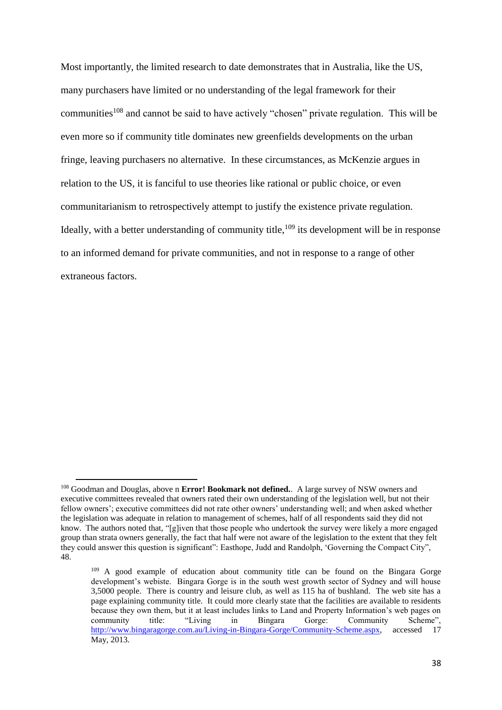Most importantly, the limited research to date demonstrates that in Australia, like the US, many purchasers have limited or no understanding of the legal framework for their communities<sup>108</sup> and cannot be said to have actively "chosen" private regulation. This will be even more so if community title dominates new greenfields developments on the urban fringe, leaving purchasers no alternative. In these circumstances, as McKenzie argues in relation to the US, it is fanciful to use theories like rational or public choice, or even communitarianism to retrospectively attempt to justify the existence private regulation. Ideally, with a better understanding of community title, $109$  its development will be in response to an informed demand for private communities, and not in response to a range of other extraneous factors.

<sup>108</sup> Goodman and Douglas, above n **Error! Bookmark not defined.**. A large survey of NSW owners and executive committees revealed that owners rated their own understanding of the legislation well, but not their fellow owners'; executive committees did not rate other owners' understanding well; and when asked whether the legislation was adequate in relation to management of schemes, half of all respondents said they did not know. The authors noted that, "[g]iven that those people who undertook the survey were likely a more engaged group than strata owners generally, the fact that half were not aware of the legislation to the extent that they felt they could answer this question is significant": Easthope, Judd and Randolph, 'Governing the Compact City", 48.

<sup>&</sup>lt;sup>109</sup> A good example of education about community title can be found on the Bingara Gorge development's webiste. Bingara Gorge is in the south west growth sector of Sydney and will house 3,5000 people. There is country and leisure club, as well as 115 ha of bushland. The web site has a page explaining community title. It could more clearly state that the facilities are available to residents because they own them, but it at least includes links to Land and Property Information's web pages on community title: "Living in Bingara Gorge: Community Scheme", [http://www.bingaragorge.com.au/Living-in-Bingara-Gorge/Community-Scheme.aspx,](http://www.bingaragorge.com.au/Living-in-Bingara-Gorge/Community-Scheme.aspx) accessed 17 May, 2013.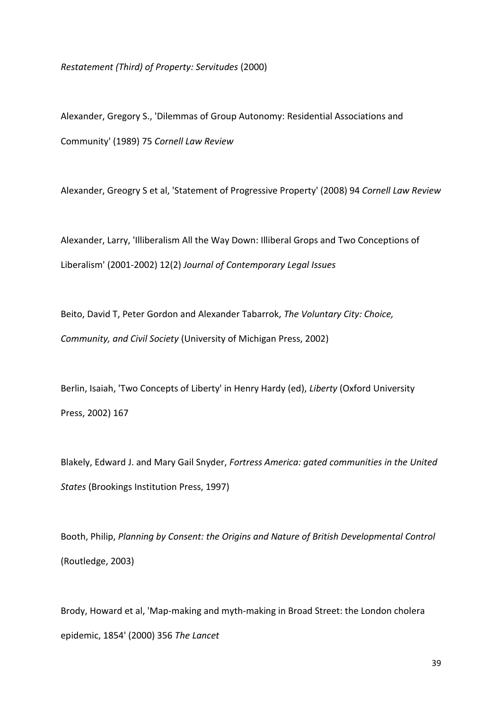*Restatement (Third) of Property: Servitudes* (2000)

Alexander, Gregory S., 'Dilemmas of Group Autonomy: Residential Associations and Community' (1989) 75 *Cornell Law Review*

Alexander, Greogry S et al, 'Statement of Progressive Property' (2008) 94 *Cornell Law Review*

Alexander, Larry, 'Illiberalism All the Way Down: Illiberal Grops and Two Conceptions of Liberalism' (2001-2002) 12(2) *Journal of Contemporary Legal Issues*

Beito, David T, Peter Gordon and Alexander Tabarrok, *The Voluntary City: Choice, Community, and Civil Society* (University of Michigan Press, 2002)

Berlin, Isaiah, 'Two Concepts of Liberty' in Henry Hardy (ed), *Liberty* (Oxford University Press, 2002) 167

Blakely, Edward J. and Mary Gail Snyder, *Fortress America: gated communities in the United States* (Brookings Institution Press, 1997)

Booth, Philip, *Planning by Consent: the Origins and Nature of British Developmental Control* (Routledge, 2003)

Brody, Howard et al, 'Map-making and myth-making in Broad Street: the London cholera epidemic, 1854' (2000) 356 *The Lancet*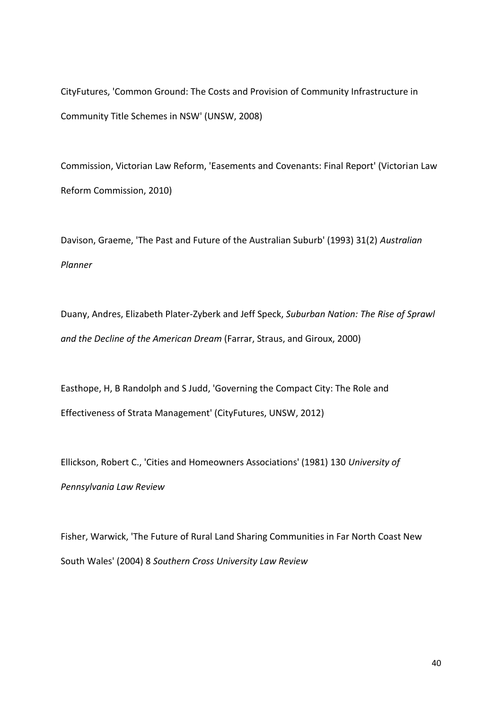CityFutures, 'Common Ground: The Costs and Provision of Community Infrastructure in Community Title Schemes in NSW' (UNSW, 2008)

Commission, Victorian Law Reform, 'Easements and Covenants: Final Report' (Victorian Law Reform Commission, 2010)

Davison, Graeme, 'The Past and Future of the Australian Suburb' (1993) 31(2) *Australian Planner*

Duany, Andres, Elizabeth Plater-Zyberk and Jeff Speck, *Suburban Nation: The Rise of Sprawl and the Decline of the American Dream* (Farrar, Straus, and Giroux, 2000)

Easthope, H, B Randolph and S Judd, 'Governing the Compact City: The Role and Effectiveness of Strata Management' (CityFutures, UNSW, 2012)

Ellickson, Robert C., 'Cities and Homeowners Associations' (1981) 130 *University of Pennsylvania Law Review*

Fisher, Warwick, 'The Future of Rural Land Sharing Communities in Far North Coast New South Wales' (2004) 8 *Southern Cross University Law Review*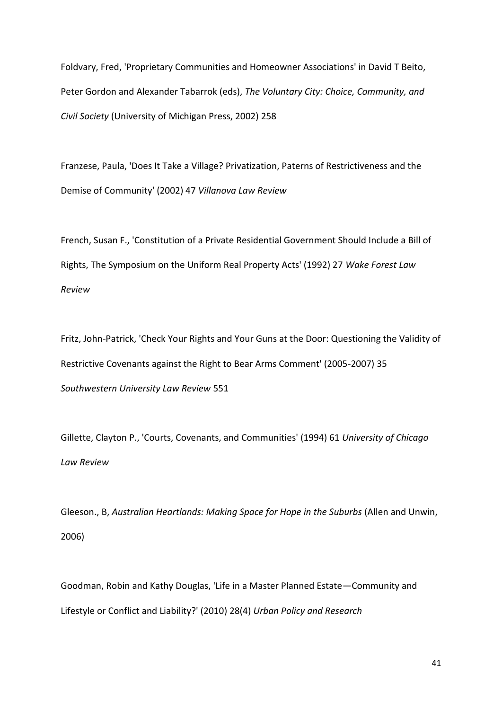Foldvary, Fred, 'Proprietary Communities and Homeowner Associations' in David T Beito, Peter Gordon and Alexander Tabarrok (eds), *The Voluntary City: Choice, Community, and Civil Society* (University of Michigan Press, 2002) 258

Franzese, Paula, 'Does It Take a Village? Privatization, Paterns of Restrictiveness and the Demise of Community' (2002) 47 *Villanova Law Review*

French, Susan F., 'Constitution of a Private Residential Government Should Include a Bill of Rights, The Symposium on the Uniform Real Property Acts' (1992) 27 *Wake Forest Law Review*

Fritz, John-Patrick, 'Check Your Rights and Your Guns at the Door: Questioning the Validity of Restrictive Covenants against the Right to Bear Arms Comment' (2005-2007) 35 *Southwestern University Law Review* 551

Gillette, Clayton P., 'Courts, Covenants, and Communities' (1994) 61 *University of Chicago Law Review*

Gleeson., B, *Australian Heartlands: Making Space for Hope in the Suburbs* (Allen and Unwin, 2006)

Goodman, Robin and Kathy Douglas, 'Life in a Master Planned Estate—Community and Lifestyle or Conflict and Liability?' (2010) 28(4) *Urban Policy and Research*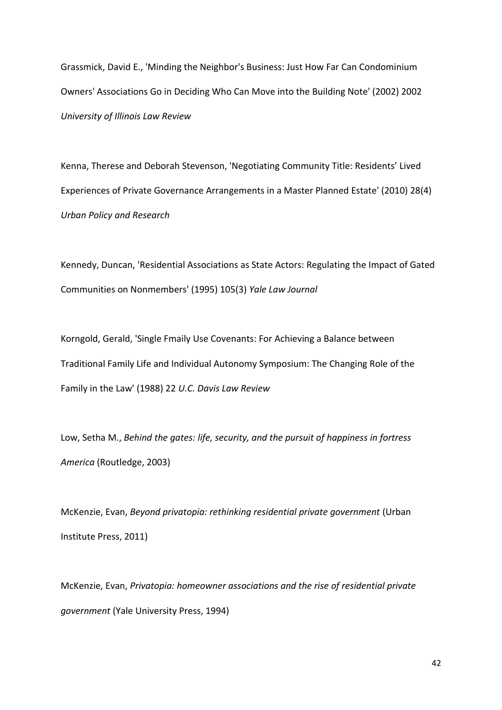Grassmick, David E., 'Minding the Neighbor's Business: Just How Far Can Condominium Owners' Associations Go in Deciding Who Can Move into the Building Note' (2002) 2002 *University of Illinois Law Review*

Kenna, Therese and Deborah Stevenson, 'Negotiating Community Title: Residents' Lived Experiences of Private Governance Arrangements in a Master Planned Estate' (2010) 28(4) *Urban Policy and Research*

Kennedy, Duncan, 'Residential Associations as State Actors: Regulating the Impact of Gated Communities on Nonmembers' (1995) 105(3) *Yale Law Journal*

Korngold, Gerald, 'Single Fmaily Use Covenants: For Achieving a Balance between Traditional Family Life and Individual Autonomy Symposium: The Changing Role of the Family in the Law' (1988) 22 *U.C. Davis Law Review*

Low, Setha M., *Behind the gates: life, security, and the pursuit of happiness in fortress America* (Routledge, 2003)

McKenzie, Evan, *Beyond privatopia: rethinking residential private government* (Urban Institute Press, 2011)

McKenzie, Evan, *Privatopia: homeowner associations and the rise of residential private government* (Yale University Press, 1994)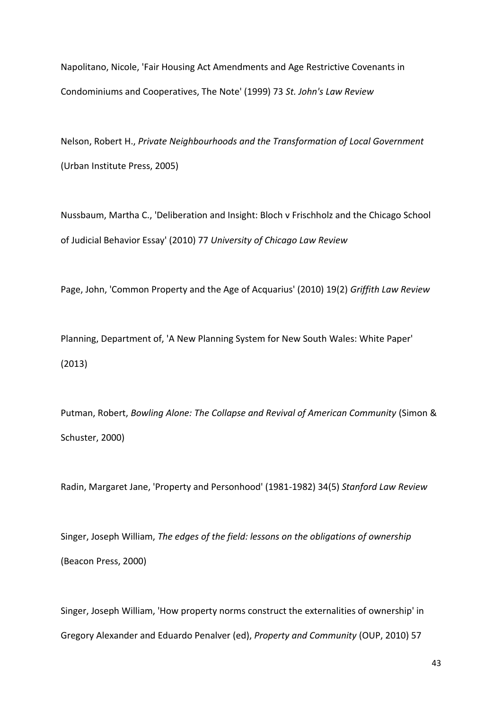Napolitano, Nicole, 'Fair Housing Act Amendments and Age Restrictive Covenants in Condominiums and Cooperatives, The Note' (1999) 73 *St. John's Law Review*

Nelson, Robert H., *Private Neighbourhoods and the Transformation of Local Government* (Urban Institute Press, 2005)

Nussbaum, Martha C., 'Deliberation and Insight: Bloch v Frischholz and the Chicago School of Judicial Behavior Essay' (2010) 77 *University of Chicago Law Review*

Page, John, 'Common Property and the Age of Acquarius' (2010) 19(2) *Griffith Law Review*

Planning, Department of, 'A New Planning System for New South Wales: White Paper' (2013)

Putman, Robert, *Bowling Alone: The Collapse and Revival of American Community* (Simon & Schuster, 2000)

Radin, Margaret Jane, 'Property and Personhood' (1981-1982) 34(5) *Stanford Law Review*

Singer, Joseph William, *The edges of the field: lessons on the obligations of ownership* (Beacon Press, 2000)

Singer, Joseph William, 'How property norms construct the externalities of ownership' in Gregory Alexander and Eduardo Penalver (ed), *Property and Community* (OUP, 2010) 57